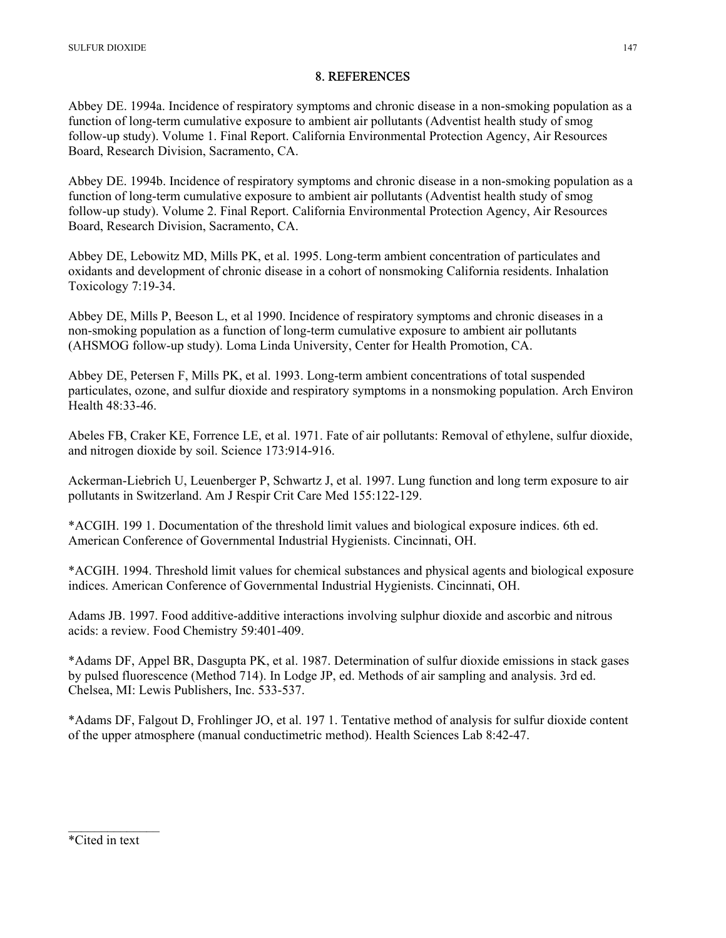Abbey DE. 1994a. Incidence of respiratory symptoms and chronic disease in a non-smoking population as a function of long-term cumulative exposure to ambient air pollutants (Adventist health study of smog follow-up study). Volume 1. Final Report. California Environmental Protection Agency, Air Resources Board, Research Division, Sacramento, CA.

Abbey DE. 1994b. Incidence of respiratory symptoms and chronic disease in a non-smoking population as a function of long-term cumulative exposure to ambient air pollutants (Adventist health study of smog follow-up study). Volume 2. Final Report. California Environmental Protection Agency, Air Resources Board, Research Division, Sacramento, CA.

Abbey DE, Lebowitz MD, Mills PK, et al. 1995. Long-term ambient concentration of particulates and oxidants and development of chronic disease in a cohort of nonsmoking California residents. Inhalation Toxicology 7:19-34.

Abbey DE, Mills P, Beeson L, et al 1990. Incidence of respiratory symptoms and chronic diseases in a non-smoking population as a function of long-term cumulative exposure to ambient air pollutants (AHSMOG follow-up study). Loma Linda University, Center for Health Promotion, CA.

Abbey DE, Petersen F, Mills PK, et al. 1993. Long-term ambient concentrations of total suspended particulates, ozone, and sulfur dioxide and respiratory symptoms in a nonsmoking population. Arch Environ Health 48:33-46.

Abeles FB, Craker KE, Forrence LE, et al. 1971. Fate of air pollutants: Removal of ethylene, sulfur dioxide, and nitrogen dioxide by soil. Science 173:914-916.

Ackerman-Liebrich U, Leuenberger P, Schwartz J, et al. 1997. Lung function and long term exposure to air pollutants in Switzerland. Am J Respir Crit Care Med 155:122-129.

\*ACGIH. 199 1. Documentation of the threshold limit values and biological exposure indices. 6th ed. American Conference of Governmental Industrial Hygienists. Cincinnati, OH.

\*ACGIH. 1994. Threshold limit values for chemical substances and physical agents and biological exposure indices. American Conference of Governmental Industrial Hygienists. Cincinnati, OH.

Adams JB. 1997. Food additive-additive interactions involving sulphur dioxide and ascorbic and nitrous acids: a review. Food Chemistry 59:401-409.

\*Adams DF, Appel BR, Dasgupta PK, et al. 1987. Determination of sulfur dioxide emissions in stack gases by pulsed fluorescence (Method 714). In Lodge JP, ed. Methods of air sampling and analysis. 3rd ed. Chelsea, MI: Lewis Publishers, Inc. 533-537.

\*Adams DF, Falgout D, Frohlinger JO, et al. 197 1. Tentative method of analysis for sulfur dioxide content of the upper atmosphere (manual conductimetric method). Health Sciences Lab 8:42-47.

\*Cited in text

 $\mathcal{L}_\text{max}$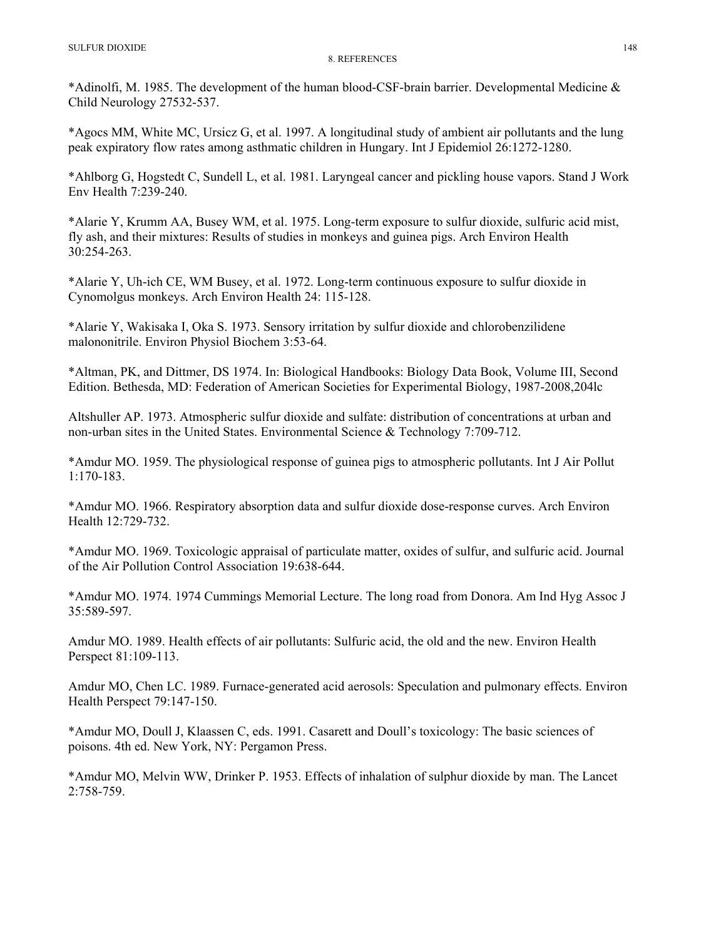\*Adinolfi, M. 1985. The development of the human blood-CSF-brain barrier. Developmental Medicine & Child Neurology 27532-537.

\*Agocs MM, White MC, Ursicz G, et al. 1997. A longitudinal study of ambient air pollutants and the lung peak expiratory flow rates among asthmatic children in Hungary. Int J Epidemiol 26:1272-1280.

\*Ahlborg G, Hogstedt C, Sundell L, et al. 1981. Laryngeal cancer and pickling house vapors. Stand J Work Env Health 7:239-240.

\*Alarie Y, Krumm AA, Busey WM, et al. 1975. Long-term exposure to sulfur dioxide, sulfuric acid mist, fly ash, and their mixtures: Results of studies in monkeys and guinea pigs. Arch Environ Health 30:254-263.

\*Alarie Y, Uh-ich CE, WM Busey, et al. 1972. Long-term continuous exposure to sulfur dioxide in Cynomolgus monkeys. Arch Environ Health 24: 115-128.

\*Alarie Y, Wakisaka I, Oka S. 1973. Sensory irritation by sulfur dioxide and chlorobenzilidene malononitrile. Environ Physiol Biochem 3:53-64.

\*Altman, PK, and Dittmer, DS 1974. In: Biological Handbooks: Biology Data Book, Volume III, Second Edition. Bethesda, MD: Federation of American Societies for Experimental Biology, 1987-2008,204lc

Altshuller AP. 1973. Atmospheric sulfur dioxide and sulfate: distribution of concentrations at urban and non-urban sites in the United States. Environmental Science & Technology 7:709-712.

\*Amdur MO. 1959. The physiological response of guinea pigs to atmospheric pollutants. Int J Air Pollut 1:170-183.

\*Amdur MO. 1966. Respiratory absorption data and sulfur dioxide dose-response curves. Arch Environ Health 12:729-732.

\*Amdur MO. 1969. Toxicologic appraisal of particulate matter, oxides of sulfur, and sulfuric acid. Journal of the Air Pollution Control Association 19:638-644.

\*Amdur MO. 1974. 1974 Cummings Memorial Lecture. The long road from Donora. Am Ind Hyg Assoc J 35:589-597.

Amdur MO. 1989. Health effects of air pollutants: Sulfuric acid, the old and the new. Environ Health Perspect 81:109-113.

Amdur MO, Chen LC. 1989. Furnace-generated acid aerosols: Speculation and pulmonary effects. Environ Health Perspect 79:147-150.

\*Amdur MO, Doull J, Klaassen C, eds. 1991. Casarett and Doull's toxicology: The basic sciences of poisons. 4th ed. New York, NY: Pergamon Press.

\*Amdur MO, Melvin WW, Drinker P. 1953. Effects of inhalation of sulphur dioxide by man. The Lancet 2:758-759.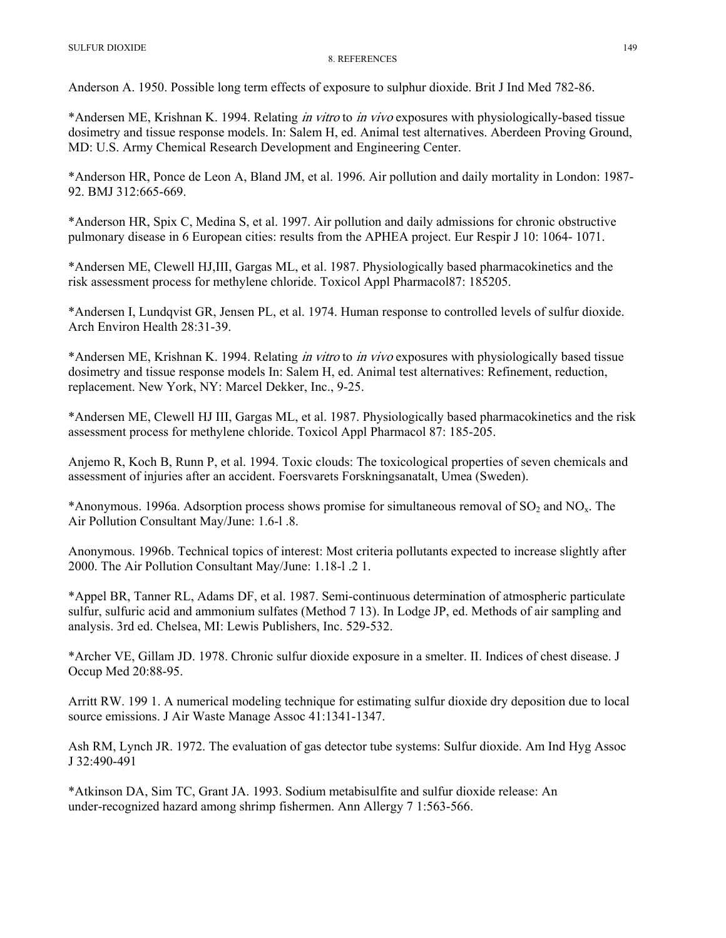Anderson A. 1950. Possible long term effects of exposure to sulphur dioxide. Brit J Ind Med 782-86.

\*Andersen ME, Krishnan K. 1994. Relating in vitro to in vivo exposures with physiologically-based tissue dosimetry and tissue response models. In: Salem H, ed. Animal test alternatives. Aberdeen Proving Ground, MD: U.S. Army Chemical Research Development and Engineering Center.

\*Anderson HR, Ponce de Leon A, Bland JM, et al. 1996. Air pollution and daily mortality in London: 1987 92. BMJ 312:665-669.

\*Anderson HR, Spix C, Medina S, et al. 1997. Air pollution and daily admissions for chronic obstructive pulmonary disease in 6 European cities: results from the APHEA project. Eur Respir J 10: 1064- 1071.

\*Andersen ME, Clewell HJ,III, Gargas ML, et al. 1987. Physiologically based pharmacokinetics and the risk assessment process for methylene chloride. Toxicol Appl Pharmacol87: 185205.

\*Andersen I, Lundqvist GR, Jensen PL, et al. 1974. Human response to controlled levels of sulfur dioxide. Arch Environ Health 28:31-39.

\*Andersen ME, Krishnan K. 1994. Relating in vitro to in vivo exposures with physiologically based tissue dosimetry and tissue response models In: Salem H, ed. Animal test alternatives: Refinement, reduction, replacement. New York, NY: Marcel Dekker, Inc., 9-25.

\*Andersen ME, Clewell HJ III, Gargas ML, et al. 1987. Physiologically based pharmacokinetics and the risk assessment process for methylene chloride. Toxicol Appl Pharmacol 87: 185-205.

Anjemo R, Koch B, Runn P, et al. 1994. Toxic clouds: The toxicological properties of seven chemicals and assessment of injuries after an accident. Foersvarets Forskningsanatalt, Umea (Sweden).

\*Anonymous. 1996a. Adsorption process shows promise for simultaneous removal of  $SO_2$  and  $NO<sub>x</sub>$ . The Air Pollution Consultant May/June: 1.6-l .8.

Anonymous. 1996b. Technical topics of interest: Most criteria pollutants expected to increase slightly after 2000. The Air Pollution Consultant May/June: 1.18-l .2 1.

\*Appel BR, Tanner RL, Adams DF, et al. 1987. Semi-continuous determination of atmospheric particulate sulfur, sulfuric acid and ammonium sulfates (Method 7 13). In Lodge JP, ed. Methods of air sampling and analysis. 3rd ed. Chelsea, MI: Lewis Publishers, Inc. 529-532.

\*Archer VE, Gillam JD. 1978. Chronic sulfur dioxide exposure in a smelter. II. Indices of chest disease. J Occup Med 20:88-95.

Arritt RW. 199 1. A numerical modeling technique for estimating sulfur dioxide dry deposition due to local source emissions. J Air Waste Manage Assoc 41:1341-1347.

Ash RM, Lynch JR. 1972. The evaluation of gas detector tube systems: Sulfur dioxide. Am Ind Hyg Assoc J 32:490-491

\*Atkinson DA, Sim TC, Grant JA. 1993. Sodium metabisulfite and sulfur dioxide release: An under-recognized hazard among shrimp fishermen. Ann Allergy 7 1:563-566.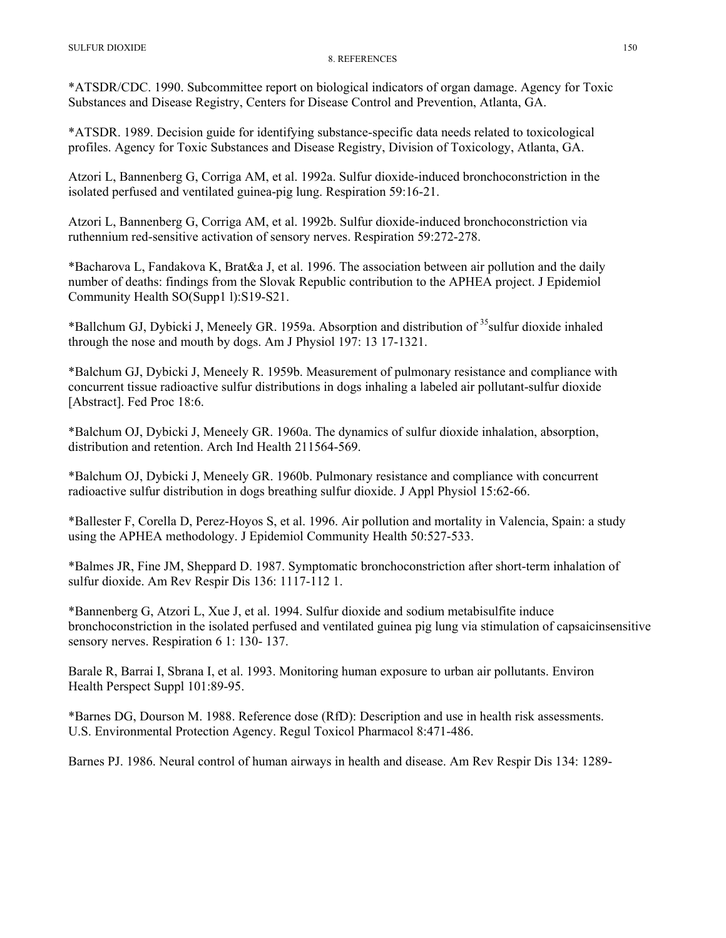SULFUR DIOXIDE 150

#### 8. REFERENCES

\*ATSDR/CDC. 1990. Subcommittee report on biological indicators of organ damage. Agency for Toxic Substances and Disease Registry, Centers for Disease Control and Prevention, Atlanta, GA.

\*ATSDR. 1989. Decision guide for identifying substance-specific data needs related to toxicological profiles. Agency for Toxic Substances and Disease Registry, Division of Toxicology, Atlanta, GA.

Atzori L, Bannenberg G, Corriga AM, et al. 1992a. Sulfur dioxide-induced bronchoconstriction in the isolated perfused and ventilated guinea-pig lung. Respiration 59:16-21.

Atzori L, Bannenberg G, Corriga AM, et al. 1992b. Sulfur dioxide-induced bronchoconstriction via ruthennium red-sensitive activation of sensory nerves. Respiration 59:272-278.

\*Bacharova L, Fandakova K, Brat&a J, et al. 1996. The association between air pollution and the daily number of deaths: findings from the Slovak Republic contribution to the APHEA project. J Epidemiol Community Health SO(Supp1 l):S19-S21.

\*Ballchum GJ, Dybicki J, Meneely GR. 1959a. Absorption and distribution of 35sulfur dioxide inhaled through the nose and mouth by dogs. Am J Physiol 197: 13 17-1321.

\*Balchum GJ, Dybicki J, Meneely R. 1959b. Measurement of pulmonary resistance and compliance with concurrent tissue radioactive sulfur distributions in dogs inhaling a labeled air pollutant-sulfur dioxide [Abstract]. Fed Proc 18:6.

\*Balchum OJ, Dybicki J, Meneely GR. 1960a. The dynamics of sulfur dioxide inhalation, absorption, distribution and retention. Arch Ind Health 211564-569.

\*Balchum OJ, Dybicki J, Meneely GR. 1960b. Pulmonary resistance and compliance with concurrent radioactive sulfur distribution in dogs breathing sulfur dioxide. J Appl Physiol 15:62-66.

\*Ballester F, Corella D, Perez-Hoyos S, et al. 1996. Air pollution and mortality in Valencia, Spain: a study using the APHEA methodology. J Epidemiol Community Health 50:527-533.

\*Balmes JR, Fine JM, Sheppard D. 1987. Symptomatic bronchoconstriction after short-term inhalation of sulfur dioxide. Am Rev Respir Dis 136: 1117-112 1.

\*Bannenberg G, Atzori L, Xue J, et al. 1994. Sulfur dioxide and sodium metabisulfite induce bronchoconstriction in the isolated perfused and ventilated guinea pig lung via stimulation of capsaicinsensitive sensory nerves. Respiration 6 1: 130- 137.

Barale R, Barrai I, Sbrana I, et al. 1993. Monitoring human exposure to urban air pollutants. Environ Health Perspect Suppl 101:89-95.

\*Barnes DG, Dourson M. 1988. Reference dose (RfD): Description and use in health risk assessments. U.S. Environmental Protection Agency. Regul Toxicol Pharmacol 8:471-486.

Barnes PJ. 1986. Neural control of human airways in health and disease. Am Rev Respir Dis 134: 1289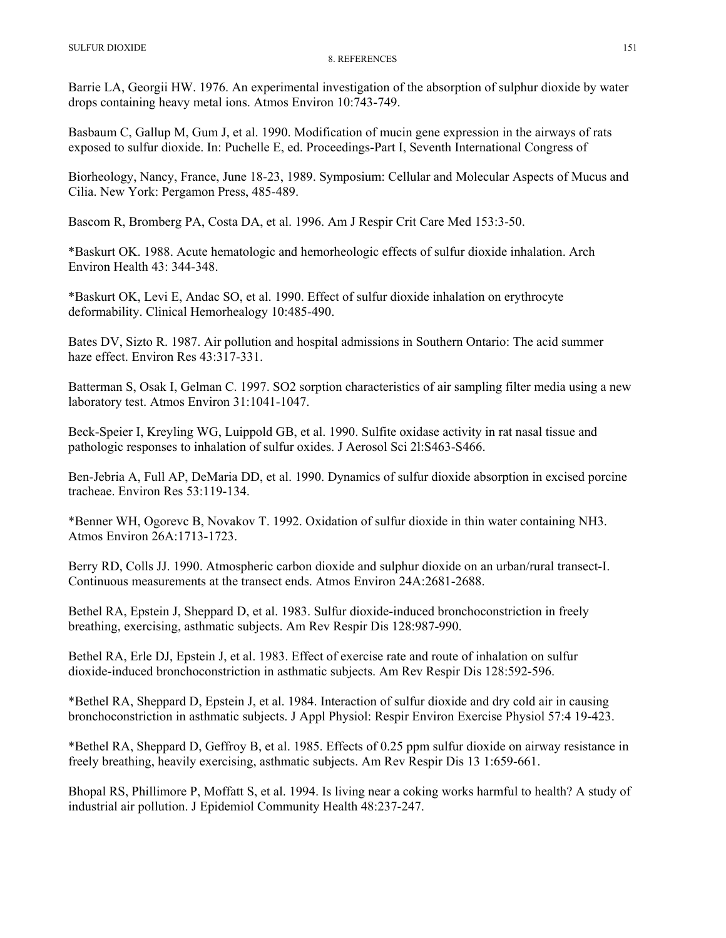Barrie LA, Georgii HW. 1976. An experimental investigation of the absorption of sulphur dioxide by water drops containing heavy metal ions. Atmos Environ 10:743-749.

Basbaum C, Gallup M, Gum J, et al. 1990. Modification of mucin gene expression in the airways of rats exposed to sulfur dioxide. In: Puchelle E, ed. Proceedings-Part I, Seventh International Congress of

Biorheology, Nancy, France, June 18-23, 1989. Symposium: Cellular and Molecular Aspects of Mucus and Cilia. New York: Pergamon Press, 485-489.

Bascom R, Bromberg PA, Costa DA, et al. 1996. Am J Respir Crit Care Med 153:3-50.

\*Baskurt OK. 1988. Acute hematologic and hemorheologic effects of sulfur dioxide inhalation. Arch Environ Health 43: 344-348.

\*Baskurt OK, Levi E, Andac SO, et al. 1990. Effect of sulfur dioxide inhalation on erythrocyte deformability. Clinical Hemorhealogy 10:485-490.

Bates DV, Sizto R. 1987. Air pollution and hospital admissions in Southern Ontario: The acid summer haze effect. Environ Res 43:317-331.

Batterman S, Osak I, Gelman C. 1997. SO2 sorption characteristics of air sampling filter media using a new laboratory test. Atmos Environ 31:1041-1047.

Beck-Speier I, Kreyling WG, Luippold GB, et al. 1990. Sulfite oxidase activity in rat nasal tissue and pathologic responses to inhalation of sulfur oxides. J Aerosol Sci 2l:S463-S466.

Ben-Jebria A, Full AP, DeMaria DD, et al. 1990. Dynamics of sulfur dioxide absorption in excised porcine tracheae. Environ Res 53:119-134.

\*Benner WH, Ogorevc B, Novakov T. 1992. Oxidation of sulfur dioxide in thin water containing NH3. Atmos Environ 26A:1713-1723.

Berry RD, Colls JJ. 1990. Atmospheric carbon dioxide and sulphur dioxide on an urban/rural transect-I. Continuous measurements at the transect ends. Atmos Environ 24A:2681-2688.

Bethel RA, Epstein J, Sheppard D, et al. 1983. Sulfur dioxide-induced bronchoconstriction in freely breathing, exercising, asthmatic subjects. Am Rev Respir Dis 128:987-990.

Bethel RA, Erle DJ, Epstein J, et al. 1983. Effect of exercise rate and route of inhalation on sulfur dioxide-induced bronchoconstriction in asthmatic subjects. Am Rev Respir Dis 128:592-596.

\*Bethel RA, Sheppard D, Epstein J, et al. 1984. Interaction of sulfur dioxide and dry cold air in causing bronchoconstriction in asthmatic subjects. J Appl Physiol: Respir Environ Exercise Physiol 57:4 19-423.

\*Bethel RA, Sheppard D, Geffroy B, et al. 1985. Effects of 0.25 ppm sulfur dioxide on airway resistance in freely breathing, heavily exercising, asthmatic subjects. Am Rev Respir Dis 13 1:659-661.

Bhopal RS, Phillimore P, Moffatt S, et al. 1994. Is living near a coking works harmful to health? A study of industrial air pollution. J Epidemiol Community Health 48:237-247.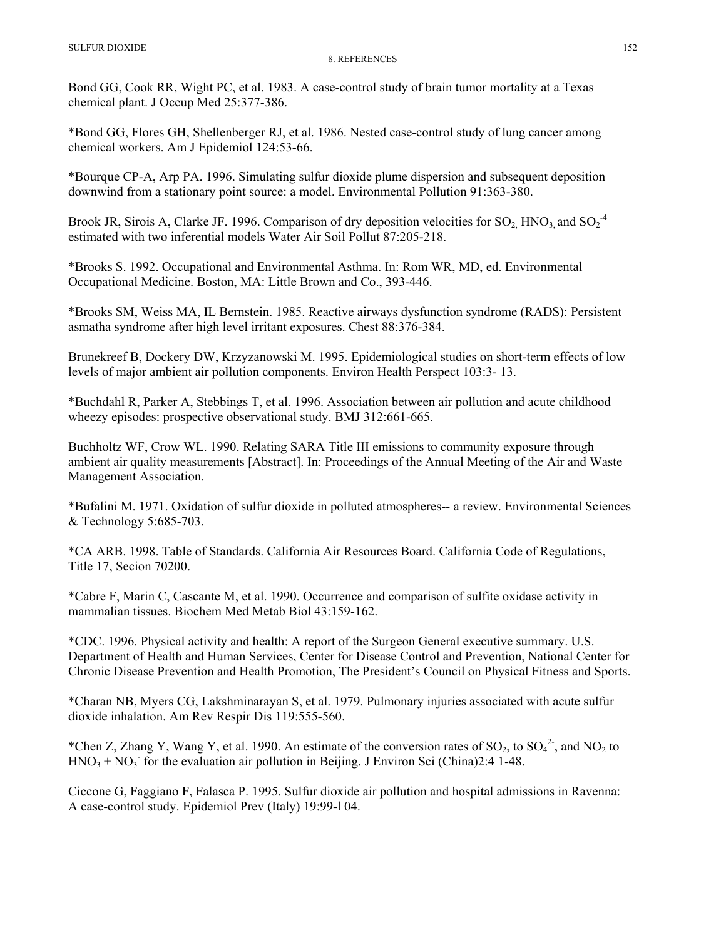Bond GG, Cook RR, Wight PC, et al. 1983. A case-control study of brain tumor mortality at a Texas chemical plant. J Occup Med 25:377-386.

\*Bond GG, Flores GH, Shellenberger RJ, et al. 1986. Nested case-control study of lung cancer among chemical workers. Am J Epidemiol 124:53-66.

\*Bourque CP-A, Arp PA. 1996. Simulating sulfur dioxide plume dispersion and subsequent deposition downwind from a stationary point source: a model. Environmental Pollution 91:363-380.

Brook JR, Sirois A, Clarke JF. 1996. Comparison of dry deposition velocities for  $SO_2$ , HNO<sub>3</sub>, and  $SO_2^{-4}$ estimated with two inferential models Water Air Soil Pollut 87:205-218.

\*Brooks S. 1992. Occupational and Environmental Asthma. In: Rom WR, MD, ed. Environmental Occupational Medicine. Boston, MA: Little Brown and Co., 393-446.

\*Brooks SM, Weiss MA, IL Bernstein. 1985. Reactive airways dysfunction syndrome (RADS): Persistent asmatha syndrome after high level irritant exposures. Chest 88:376-384.

Brunekreef B, Dockery DW, Krzyzanowski M. 1995. Epidemiological studies on short-term effects of low levels of major ambient air pollution components. Environ Health Perspect 103:3- 13.

\*Buchdahl R, Parker A, Stebbings T, et al. 1996. Association between air pollution and acute childhood wheezy episodes: prospective observational study. BMJ 312:661-665.

Buchholtz WF, Crow WL. 1990. Relating SARA Title III emissions to community exposure through ambient air quality measurements [Abstract]. In: Proceedings of the Annual Meeting of the Air and Waste Management Association.

\*Bufalini M. 1971. Oxidation of sulfur dioxide in polluted atmospheres-- a review. Environmental Sciences & Technology 5:685-703.

\*CA ARB. 1998. Table of Standards. California Air Resources Board. California Code of Regulations, Title 17, Secion 70200.

\*Cabre F, Marin C, Cascante M, et al. 1990. Occurrence and comparison of sulfite oxidase activity in mammalian tissues. Biochem Med Metab Biol 43:159-162.

\*CDC. 1996. Physical activity and health: A report of the Surgeon General executive summary. U.S. Department of Health and Human Services, Center for Disease Control and Prevention, National Center for Chronic Disease Prevention and Health Promotion, The President's Council on Physical Fitness and Sports.

\*Charan NB, Myers CG, Lakshminarayan S, et al. 1979. Pulmonary injuries associated with acute sulfur dioxide inhalation. Am Rev Respir Dis 119:555-560.

\*Chen Z, Zhang Y, Wang Y, et al. 1990. An estimate of the conversion rates of  $SO_2$ , to  $SO_4^2$ , and  $NO_2$  to  $HNO<sub>3</sub> + NO<sub>3</sub>$  for the evaluation air pollution in Beijing. J Environ Sci (China)2:4 1-48.

Ciccone G, Faggiano F, Falasca P. 1995. Sulfur dioxide air pollution and hospital admissions in Ravenna: A case-control study. Epidemiol Prev (Italy) 19:99-l 04.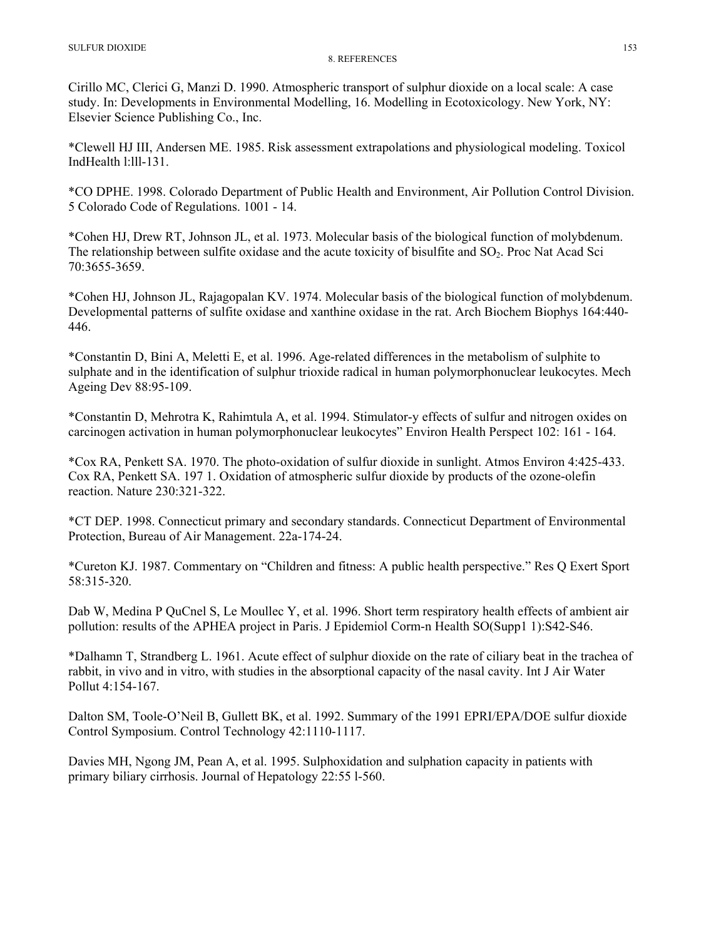Cirillo MC, Clerici G, Manzi D. 1990. Atmospheric transport of sulphur dioxide on a local scale: A case study. In: Developments in Environmental Modelling, 16. Modelling in Ecotoxicology. New York, NY: Elsevier Science Publishing Co., Inc.

\*Clewell HJ III, Andersen ME. 1985. Risk assessment extrapolations and physiological modeling. Toxicol IndHealth l:lll-131.

\*CO DPHE. 1998. Colorado Department of Public Health and Environment, Air Pollution Control Division. 5 Colorado Code of Regulations. 1001 - 14.

\*Cohen HJ, Drew RT, Johnson JL, et al. 1973. Molecular basis of the biological function of molybdenum. The relationship between sulfite oxidase and the acute toxicity of bisulfite and SO2. Proc Nat Acad Sci 70:3655-3659.

\*Cohen HJ, Johnson JL, Rajagopalan KV. 1974. Molecular basis of the biological function of molybdenum. Developmental patterns of sulfite oxidase and xanthine oxidase in the rat. Arch Biochem Biophys 164:440 446.

\*Constantin D, Bini A, Meletti E, et al. 1996. Age-related differences in the metabolism of sulphite to sulphate and in the identification of sulphur trioxide radical in human polymorphonuclear leukocytes. Mech Ageing Dev 88:95-109.

\*Constantin D, Mehrotra K, Rahimtula A, et al. 1994. Stimulator-y effects of sulfur and nitrogen oxides on carcinogen activation in human polymorphonuclear leukocytes" Environ Health Perspect 102: 161 - 164.

\*Cox RA, Penkett SA. 1970. The photo-oxidation of sulfur dioxide in sunlight. Atmos Environ 4:425-433. Cox RA, Penkett SA. 197 1. Oxidation of atmospheric sulfur dioxide by products of the ozone-olefin reaction. Nature 230:321-322.

\*CT DEP. 1998. Connecticut primary and secondary standards. Connecticut Department of Environmental Protection, Bureau of Air Management. 22a-174-24.

\*Cureton KJ. 1987. Commentary on "Children and fitness: A public health perspective." Res Q Exert Sport 58:315-320.

Dab W, Medina P QuCnel S, Le Moullec Y, et al. 1996. Short term respiratory health effects of ambient air pollution: results of the APHEA project in Paris. J Epidemiol Corm-n Health SO(Supp1 1):S42-S46.

\*Dalhamn T, Strandberg L. 1961. Acute effect of sulphur dioxide on the rate of ciliary beat in the trachea of rabbit, in vivo and in vitro, with studies in the absorptional capacity of the nasal cavity. Int J Air Water Pollut 4:154-167.

Dalton SM, Toole-O'Neil B, Gullett BK, et al. 1992. Summary of the 1991 EPRI/EPA/DOE sulfur dioxide Control Symposium. Control Technology 42:1110-1117.

Davies MH, Ngong JM, Pean A, et al. 1995. Sulphoxidation and sulphation capacity in patients with primary biliary cirrhosis. Journal of Hepatology 22:55 l-560.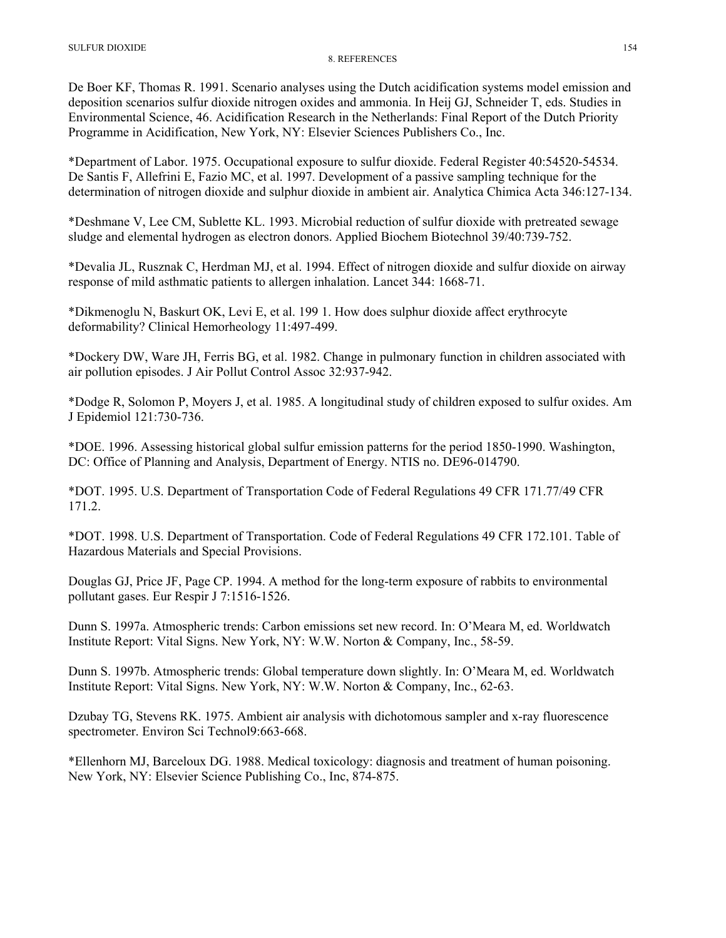De Boer KF, Thomas R. 1991. Scenario analyses using the Dutch acidification systems model emission and deposition scenarios sulfur dioxide nitrogen oxides and ammonia. In Heij GJ, Schneider T, eds. Studies in Environmental Science, 46. Acidification Research in the Netherlands: Final Report of the Dutch Priority Programme in Acidification, New York, NY: Elsevier Sciences Publishers Co., Inc.

\*Department of Labor. 1975. Occupational exposure to sulfur dioxide. Federal Register 40:54520-54534. De Santis F, Allefrini E, Fazio MC, et al. 1997. Development of a passive sampling technique for the determination of nitrogen dioxide and sulphur dioxide in ambient air. Analytica Chimica Acta 346:127-134.

\*Deshmane V, Lee CM, Sublette KL. 1993. Microbial reduction of sulfur dioxide with pretreated sewage sludge and elemental hydrogen as electron donors. Applied Biochem Biotechnol 39/40:739-752.

\*Devalia JL, Rusznak C, Herdman MJ, et al. 1994. Effect of nitrogen dioxide and sulfur dioxide on airway response of mild asthmatic patients to allergen inhalation. Lancet 344: 1668-71.

\*Dikmenoglu N, Baskurt OK, Levi E, et al. 199 1. How does sulphur dioxide affect erythrocyte deformability? Clinical Hemorheology 11:497-499.

\*Dockery DW, Ware JH, Ferris BG, et al. 1982. Change in pulmonary function in children associated with air pollution episodes. J Air Pollut Control Assoc 32:937-942.

\*Dodge R, Solomon P, Moyers J, et al. 1985. A longitudinal study of children exposed to sulfur oxides. Am J Epidemiol 121:730-736.

\*DOE. 1996. Assessing historical global sulfur emission patterns for the period 1850-1990. Washington, DC: Office of Planning and Analysis, Department of Energy. NTIS no. DE96-014790.

\*DOT. 1995. U.S. Department of Transportation Code of Federal Regulations 49 CFR 171.77/49 CFR 171.2.

\*DOT. 1998. U.S. Department of Transportation. Code of Federal Regulations 49 CFR 172.101. Table of Hazardous Materials and Special Provisions.

Douglas GJ, Price JF, Page CP. 1994. A method for the long-term exposure of rabbits to environmental pollutant gases. Eur Respir J 7:1516-1526.

Dunn S. 1997a. Atmospheric trends: Carbon emissions set new record. In: O'Meara M, ed. Worldwatch Institute Report: Vital Signs. New York, NY: W.W. Norton & Company, Inc., 58-59.

Dunn S. 1997b. Atmospheric trends: Global temperature down slightly. In: O'Meara M, ed. Worldwatch Institute Report: Vital Signs. New York, NY: W.W. Norton & Company, Inc., 62-63.

Dzubay TG, Stevens RK. 1975. Ambient air analysis with dichotomous sampler and x-ray fluorescence spectrometer. Environ Sci Technol9:663-668.

\*Ellenhorn MJ, Barceloux DG. 1988. Medical toxicology: diagnosis and treatment of human poisoning. New York, NY: Elsevier Science Publishing Co., Inc, 874-875.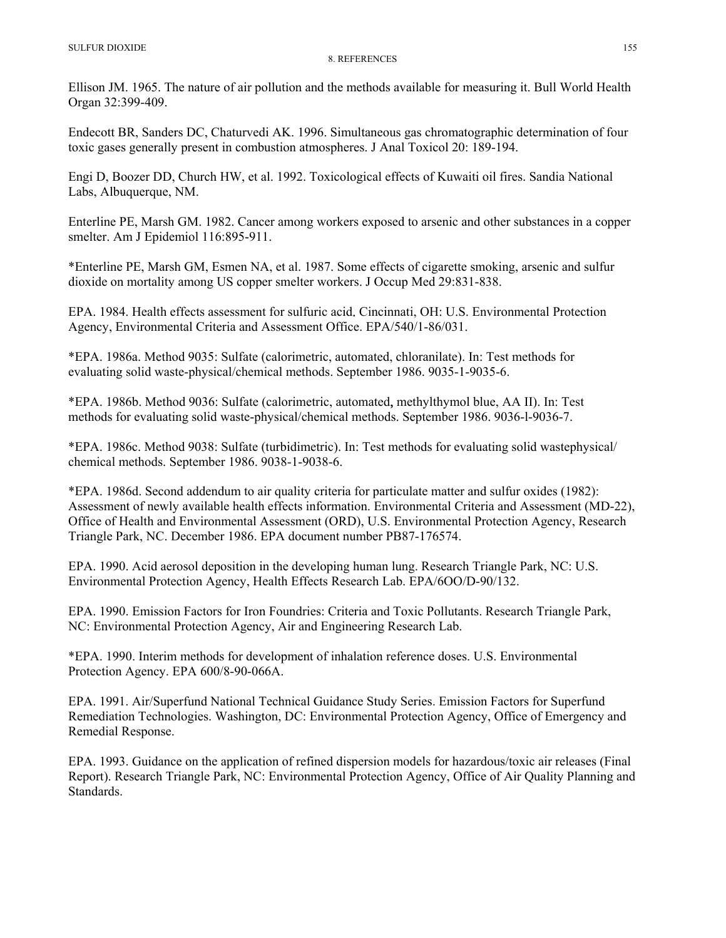Ellison JM. 1965. The nature of air pollution and the methods available for measuring it. Bull World Health Organ 32:399-409.

Endecott BR, Sanders DC, Chaturvedi AK. 1996. Simultaneous gas chromatographic determination of four toxic gases generally present in combustion atmospheres. J Anal Toxicol 20: 189-194.

Engi D, Boozer DD, Church HW, et al. 1992. Toxicological effects of Kuwaiti oil fires. Sandia National Labs, Albuquerque, NM.

Enterline PE, Marsh GM. 1982. Cancer among workers exposed to arsenic and other substances in a copper smelter. Am J Epidemiol 116:895-911.

\*Enterline PE, Marsh GM, Esmen NA, et al. 1987. Some effects of cigarette smoking, arsenic and sulfur dioxide on mortality among US copper smelter workers. J Occup Med 29:831-838.

EPA. 1984. Health effects assessment for sulfuric acid. Cincinnati, OH: U.S. Environmental Protection Agency, Environmental Criteria and Assessment Office. EPA/540/1-86/031.

\*EPA. 1986a. Method 9035: Sulfate (calorimetric, automated, chloranilate). In: Test methods for evaluating solid waste-physical/chemical methods. September 1986. 9035-1-9035-6.

\*EPA. 1986b. Method 9036: Sulfate (calorimetric, automated, methylthymol blue, AA II). In: Test methods for evaluating solid waste-physical/chemical methods. September 1986. 9036-l-9036-7.

\*EPA. 1986c. Method 9038: Sulfate (turbidimetric). In: Test methods for evaluating solid wastephysical/ chemical methods. September 1986. 9038-1-9038-6.

\*EPA. 1986d. Second addendum to air quality criteria for particulate matter and sulfur oxides (1982): Assessment of newly available health effects information. Environmental Criteria and Assessment (MD-22), Office of Health and Environmental Assessment (ORD), U.S. Environmental Protection Agency, Research Triangle Park, NC. December 1986. EPA document number PB87-176574.

EPA. 1990. Acid aerosol deposition in the developing human lung. Research Triangle Park, NC: U.S. Environmental Protection Agency, Health Effects Research Lab. EPA/6OO/D-90/132.

EPA. 1990. Emission Factors for Iron Foundries: Criteria and Toxic Pollutants. Research Triangle Park, NC: Environmental Protection Agency, Air and Engineering Research Lab.

\*EPA. 1990. Interim methods for development of inhalation reference doses. U.S. Environmental Protection Agency. EPA 600/8-90-066A.

EPA. 1991. Air/Superfund National Technical Guidance Study Series. Emission Factors for Superfund Remediation Technologies. Washington, DC: Environmental Protection Agency, Office of Emergency and Remedial Response.

EPA. 1993. Guidance on the application of refined dispersion models for hazardous/toxic air releases (Final Report). Research Triangle Park, NC: Environmental Protection Agency, Office of Air Quality Planning and Standards.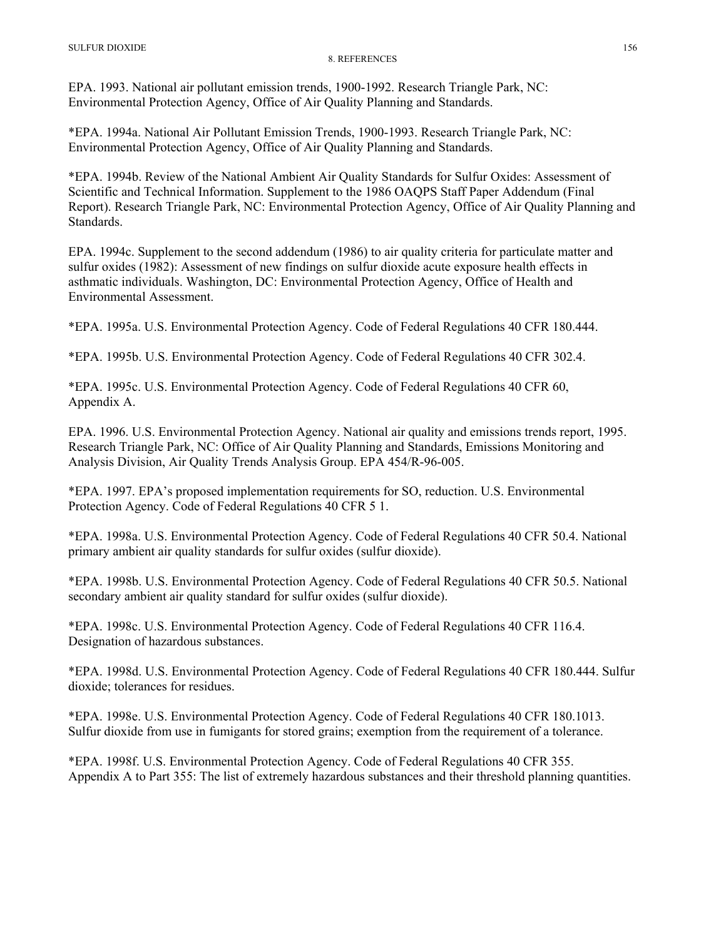EPA. 1993. National air pollutant emission trends, 1900-1992. Research Triangle Park, NC: Environmental Protection Agency, Office of Air Quality Planning and Standards.

\*EPA. 1994a. National Air Pollutant Emission Trends, 1900-1993. Research Triangle Park, NC: Environmental Protection Agency, Office of Air Quality Planning and Standards.

\*EPA. 1994b. Review of the National Ambient Air Quality Standards for Sulfur Oxides: Assessment of Scientific and Technical Information. Supplement to the 1986 OAQPS Staff Paper Addendum (Final Report). Research Triangle Park, NC: Environmental Protection Agency, Office of Air Quality Planning and Standards.

EPA. 1994c. Supplement to the second addendum (1986) to air quality criteria for particulate matter and sulfur oxides (1982): Assessment of new findings on sulfur dioxide acute exposure health effects in asthmatic individuals. Washington, DC: Environmental Protection Agency, Office of Health and Environmental Assessment.

\*EPA. 1995a. U.S. Environmental Protection Agency. Code of Federal Regulations 40 CFR 180.444.

\*EPA. 1995b. U.S. Environmental Protection Agency. Code of Federal Regulations 40 CFR 302.4.

\*EPA. 1995c. U.S. Environmental Protection Agency. Code of Federal Regulations 40 CFR 60, Appendix A.

EPA. 1996. U.S. Environmental Protection Agency. National air quality and emissions trends report, 1995. Research Triangle Park, NC: Office of Air Quality Planning and Standards, Emissions Monitoring and Analysis Division, Air Quality Trends Analysis Group. EPA 454/R-96-005.

\*EPA. 1997. EPA's proposed implementation requirements for SO, reduction. U.S. Environmental Protection Agency. Code of Federal Regulations 40 CFR 5 1.

\*EPA. 1998a. U.S. Environmental Protection Agency. Code of Federal Regulations 40 CFR 50.4. National primary ambient air quality standards for sulfur oxides (sulfur dioxide).

\*EPA. 1998b. U.S. Environmental Protection Agency. Code of Federal Regulations 40 CFR 50.5. National secondary ambient air quality standard for sulfur oxides (sulfur dioxide).

\*EPA. 1998c. U.S. Environmental Protection Agency. Code of Federal Regulations 40 CFR 116.4. Designation of hazardous substances.

\*EPA. 1998d. U.S. Environmental Protection Agency. Code of Federal Regulations 40 CFR 180.444. Sulfur dioxide; tolerances for residues.

\*EPA. 1998e. U.S. Environmental Protection Agency. Code of Federal Regulations 40 CFR 180.1013. Sulfur dioxide from use in fumigants for stored grains; exemption from the requirement of a tolerance.

\*EPA. 1998f. U.S. Environmental Protection Agency. Code of Federal Regulations 40 CFR 355. Appendix A to Part 355: The list of extremely hazardous substances and their threshold planning quantities.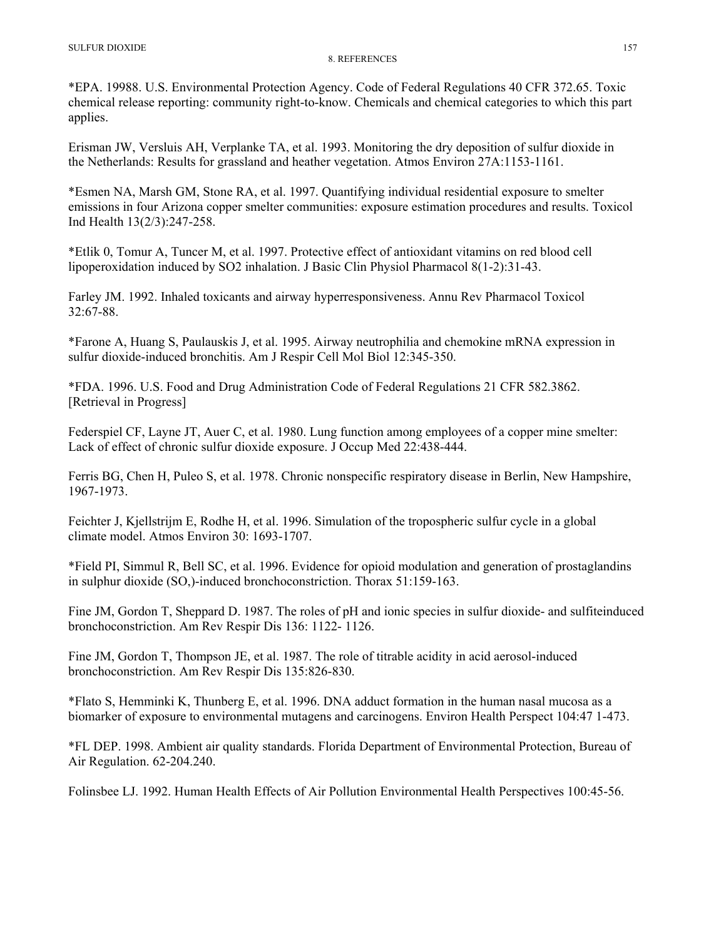\*EPA. 19988. U.S. Environmental Protection Agency. Code of Federal Regulations 40 CFR 372.65. Toxic chemical release reporting: community right-to-know. Chemicals and chemical categories to which this part applies.

Erisman JW, Versluis AH, Verplanke TA, et al. 1993. Monitoring the dry deposition of sulfur dioxide in the Netherlands: Results for grassland and heather vegetation. Atmos Environ 27A:1153-1161.

\*Esmen NA, Marsh GM, Stone RA, et al. 1997. Quantifying individual residential exposure to smelter emissions in four Arizona copper smelter communities: exposure estimation procedures and results. Toxicol Ind Health 13(2/3):247-258.

\*Etlik 0, Tomur A, Tuncer M, et al. 1997. Protective effect of antioxidant vitamins on red blood cell lipoperoxidation induced by SO2 inhalation. J Basic Clin Physiol Pharmacol 8(1-2):31-43.

Farley JM. 1992. Inhaled toxicants and airway hyperresponsiveness. Annu Rev Pharmacol Toxicol 32:67-88.

\*Farone A, Huang S, Paulauskis J, et al. 1995. Airway neutrophilia and chemokine mRNA expression in sulfur dioxide-induced bronchitis. Am J Respir Cell Mol Biol 12:345-350.

\*FDA. 1996. U.S. Food and Drug Administration Code of Federal Regulations 21 CFR 582.3862. [Retrieval in Progress]

Federspiel CF, Layne JT, Auer C, et al. 1980. Lung function among employees of a copper mine smelter: Lack of effect of chronic sulfur dioxide exposure. J Occup Med 22:438-444.

Ferris BG, Chen H, Puleo S, et al. 1978. Chronic nonspecific respiratory disease in Berlin, New Hampshire, 1967-1973.

Feichter J, Kjellstrijm E, Rodhe H, et al. 1996. Simulation of the tropospheric sulfur cycle in a global climate model. Atmos Environ 30: 1693-1707.

\*Field PI, Simmul R, Bell SC, et al. 1996. Evidence for opioid modulation and generation of prostaglandins in sulphur dioxide (SO,)-induced bronchoconstriction. Thorax 51:159-163.

Fine JM, Gordon T, Sheppard D. 1987. The roles of pH and ionic species in sulfur dioxide- and sulfiteinduced bronchoconstriction. Am Rev Respir Dis 136: 1122- 1126.

Fine JM, Gordon T, Thompson JE, et al. 1987. The role of titrable acidity in acid aerosol-induced bronchoconstriction. Am Rev Respir Dis 135:826-830.

\*Flato S, Hemminki K, Thunberg E, et al. 1996. DNA adduct formation in the human nasal mucosa as a biomarker of exposure to environmental mutagens and carcinogens. Environ Health Perspect 104:47 1-473.

\*FL DEP. 1998. Ambient air quality standards. Florida Department of Environmental Protection, Bureau of Air Regulation. 62-204.240.

Folinsbee LJ. 1992. Human Health Effects of Air Pollution Environmental Health Perspectives 100:45-56.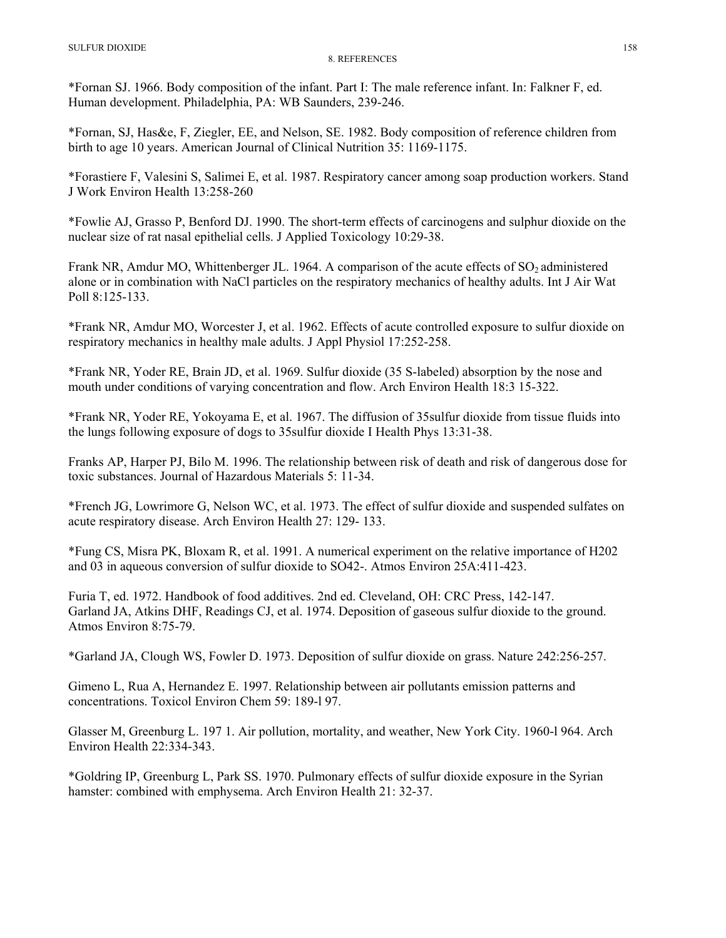\*Fornan SJ. 1966. Body composition of the infant. Part I: The male reference infant. In: Falkner F, ed. Human development. Philadelphia, PA: WB Saunders, 239-246.

\*Fornan, SJ, Has&e, F, Ziegler, EE, and Nelson, SE. 1982. Body composition of reference children from birth to age 10 years. American Journal of Clinical Nutrition 35: 1169-1175.

\*Forastiere F, Valesini S, Salimei E, et al. 1987. Respiratory cancer among soap production workers. Stand J Work Environ Health 13:258-260

\*Fowlie AJ, Grasso P, Benford DJ. 1990. The short-term effects of carcinogens and sulphur dioxide on the nuclear size of rat nasal epithelial cells. J Applied Toxicology 10:29-38.

Frank NR, Amdur MO, Whittenberger JL. 1964. A comparison of the acute effects of  $SO_2$  administered alone or in combination with NaCl particles on the respiratory mechanics of healthy adults. Int J Air Wat Poll 8:125-133.

\*Frank NR, Amdur MO, Worcester J, et al. 1962. Effects of acute controlled exposure to sulfur dioxide on respiratory mechanics in healthy male adults. J Appl Physiol 17:252-258.

\*Frank NR, Yoder RE, Brain JD, et al. 1969. Sulfur dioxide (35 S-labeled) absorption by the nose and mouth under conditions of varying concentration and flow. Arch Environ Health 18:3 15-322.

\*Frank NR, Yoder RE, Yokoyama E, et al. 1967. The diffusion of 35sulfur dioxide from tissue fluids into the lungs following exposure of dogs to 35sulfur dioxide I Health Phys 13:31-38.

Franks AP, Harper PJ, Bilo M. 1996. The relationship between risk of death and risk of dangerous dose for toxic substances. Journal of Hazardous Materials 5: 11-34.

\*French JG, Lowrimore G, Nelson WC, et al. 1973. The effect of sulfur dioxide and suspended sulfates on acute respiratory disease. Arch Environ Health 27: 129- 133.

\*Fung CS, Misra PK, Bloxam R, et al. 1991. A numerical experiment on the relative importance of H202 and 03 in aqueous conversion of sulfur dioxide to SO42-. Atmos Environ 25A:411-423.

Furia T, ed. 1972. Handbook of food additives. 2nd ed. Cleveland, OH: CRC Press, 142-147. Garland JA, Atkins DHF, Readings CJ, et al. 1974. Deposition of gaseous sulfur dioxide to the ground. Atmos Environ 8:75-79.

\*Garland JA, Clough WS, Fowler D. 1973. Deposition of sulfur dioxide on grass. Nature 242:256-257.

Gimeno L, Rua A, Hernandez E. 1997. Relationship between air pollutants emission patterns and concentrations. Toxicol Environ Chem 59: 189-l 97.

Glasser M, Greenburg L. 197 1. Air pollution, mortality, and weather, New York City. 1960-l 964. Arch Environ Health 22:334-343.

\*Goldring IP, Greenburg L, Park SS. 1970. Pulmonary effects of sulfur dioxide exposure in the Syrian hamster: combined with emphysema. Arch Environ Health 21: 32-37.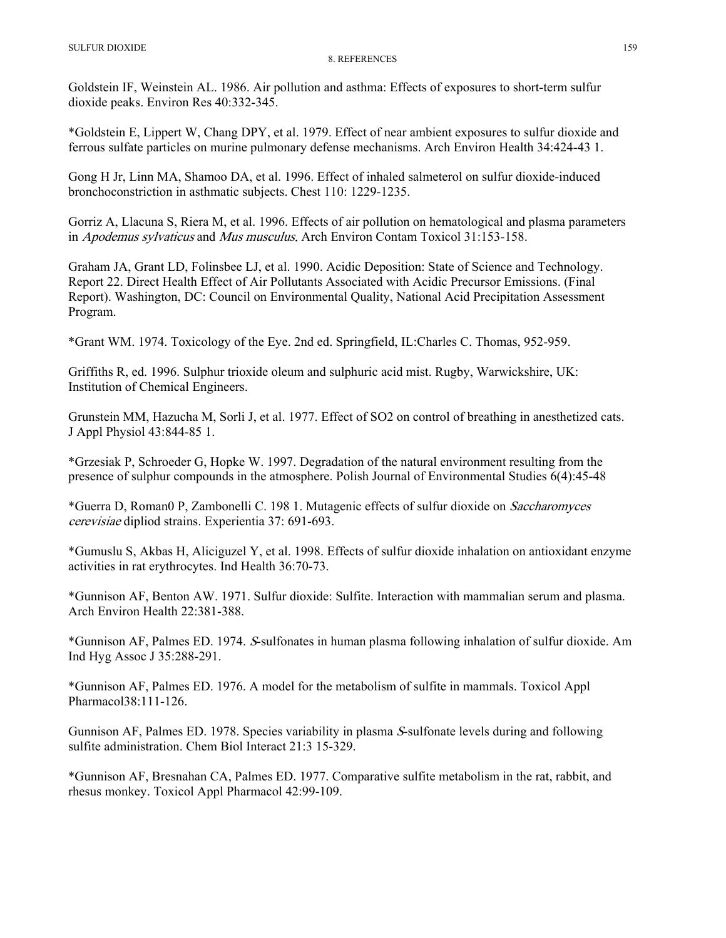Goldstein IF, Weinstein AL. 1986. Air pollution and asthma: Effects of exposures to short-term sulfur dioxide peaks. Environ Res 40:332-345.

\*Goldstein E, Lippert W, Chang DPY, et al. 1979. Effect of near ambient exposures to sulfur dioxide and ferrous sulfate particles on murine pulmonary defense mechanisms. Arch Environ Health 34:424-43 1.

Gong H Jr, Linn MA, Shamoo DA, et al. 1996. Effect of inhaled salmeterol on sulfur dioxide-induced bronchoconstriction in asthmatic subjects. Chest 110: 1229-1235.

Gorriz A, Llacuna S, Riera M, et al. 1996. Effects of air pollution on hematological and plasma parameters in Apodemus sylvaticus and Mus musculus. Arch Environ Contam Toxicol 31:153-158.

Graham JA, Grant LD, Folinsbee LJ, et al. 1990. Acidic Deposition: State of Science and Technology. Report 22. Direct Health Effect of Air Pollutants Associated with Acidic Precursor Emissions. (Final Report). Washington, DC: Council on Environmental Quality, National Acid Precipitation Assessment Program.

\*Grant WM. 1974. Toxicology of the Eye. 2nd ed. Springfield, IL:Charles C. Thomas, 952-959.

Griffiths R, ed. 1996. Sulphur trioxide oleum and sulphuric acid mist. Rugby, Warwickshire, UK: Institution of Chemical Engineers.

Grunstein MM, Hazucha M, Sorli J, et al. 1977. Effect of SO2 on control of breathing in anesthetized cats. J Appl Physiol 43:844-85 1.

\*Grzesiak P, Schroeder G, Hopke W. 1997. Degradation of the natural environment resulting from the presence of sulphur compounds in the atmosphere. Polish Journal of Environmental Studies 6(4):45-48

\*Guerra D, Roman0 P, Zambonelli C. 198 1. Mutagenic effects of sulfur dioxide on Saccharomyces cerevisiae dipliod strains. Experientia 37: 691-693.

\*Gumuslu S, Akbas H, Aliciguzel Y, et al. 1998. Effects of sulfur dioxide inhalation on antioxidant enzyme activities in rat erythrocytes. Ind Health 36:70-73.

\*Gunnison AF, Benton AW. 1971. Sulfur dioxide: Sulfite. Interaction with mammalian serum and plasma. Arch Environ Health 22:381-388.

\*Gunnison AF, Palmes ED. 1974. S-sulfonates in human plasma following inhalation of sulfur dioxide. Am Ind Hyg Assoc J 35:288-291.

\*Gunnison AF, Palmes ED. 1976. A model for the metabolism of sulfite in mammals. Toxicol Appl Pharmacol38:111-126.

Gunnison AF, Palmes ED. 1978. Species variability in plasma S-sulfonate levels during and following sulfite administration. Chem Biol Interact 21:3 15-329.

\*Gunnison AF, Bresnahan CA, Palmes ED. 1977. Comparative sulfite metabolism in the rat, rabbit, and rhesus monkey. Toxicol Appl Pharmacol 42:99-109.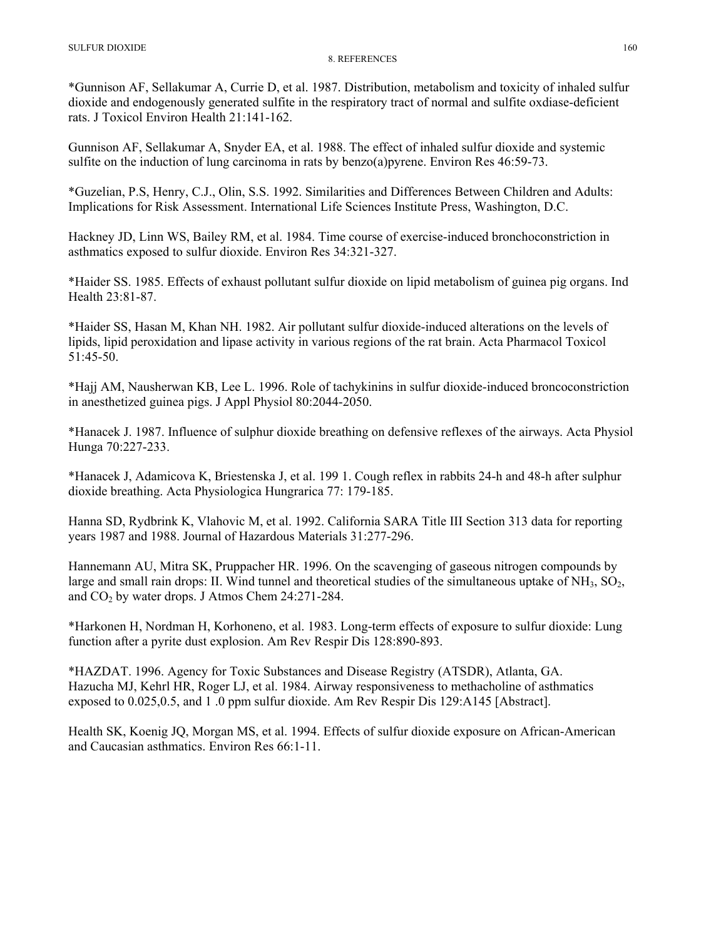\*Gunnison AF, Sellakumar A, Currie D, et al. 1987. Distribution, metabolism and toxicity of inhaled sulfur dioxide and endogenously generated sulfite in the respiratory tract of normal and sulfite oxdiase-deficient rats. J Toxicol Environ Health 21:141-162.

Gunnison AF, Sellakumar A, Snyder EA, et al. 1988. The effect of inhaled sulfur dioxide and systemic sulfite on the induction of lung carcinoma in rats by benzo(a)pyrene. Environ Res 46:59-73.

\*Guzelian, P.S, Henry, C.J., Olin, S.S. 1992. Similarities and Differences Between Children and Adults: Implications for Risk Assessment. International Life Sciences Institute Press, Washington, D.C.

Hackney JD, Linn WS, Bailey RM, et al. 1984. Time course of exercise-induced bronchoconstriction in asthmatics exposed to sulfur dioxide. Environ Res 34:321-327.

\*Haider SS. 1985. Effects of exhaust pollutant sulfur dioxide on lipid metabolism of guinea pig organs. Ind Health 23:81-87.

\*Haider SS, Hasan M, Khan NH. 1982. Air pollutant sulfur dioxide-induced alterations on the levels of lipids, lipid peroxidation and lipase activity in various regions of the rat brain. Acta Pharmacol Toxicol 51:45-50.

\*Hajj AM, Nausherwan KB, Lee L. 1996. Role of tachykinins in sulfur dioxide-induced broncoconstriction in anesthetized guinea pigs. J Appl Physiol 80:2044-2050.

\*Hanacek J. 1987. Influence of sulphur dioxide breathing on defensive reflexes of the airways. Acta Physiol Hunga 70:227-233.

\*Hanacek J, Adamicova K, Briestenska J, et al. 199 1. Cough reflex in rabbits 24-h and 48-h after sulphur dioxide breathing. Acta Physiologica Hungrarica 77: 179-185.

Hanna SD, Rydbrink K, Vlahovic M, et al. 1992. California SARA Title III Section 313 data for reporting years 1987 and 1988. Journal of Hazardous Materials 31:277-296.

Hannemann AU, Mitra SK, Pruppacher HR. 1996. On the scavenging of gaseous nitrogen compounds by large and small rain drops: II. Wind tunnel and theoretical studies of the simultaneous uptake of  $NH_3$ ,  $SO_2$ , and  $CO<sub>2</sub>$  by water drops. J Atmos Chem 24:271-284.

\*Harkonen H, Nordman H, Korhoneno, et al. 1983. Long-term effects of exposure to sulfur dioxide: Lung function after a pyrite dust explosion. Am Rev Respir Dis 128:890-893.

\*HAZDAT. 1996. Agency for Toxic Substances and Disease Registry (ATSDR), Atlanta, GA. Hazucha MJ, Kehrl HR, Roger LJ, et al. 1984. Airway responsiveness to methacholine of asthmatics exposed to 0.025,0.5, and 1 .0 ppm sulfur dioxide. Am Rev Respir Dis 129:A145 [Abstract].

Health SK, Koenig JQ, Morgan MS, et al. 1994. Effects of sulfur dioxide exposure on African-American and Caucasian asthmatics. Environ Res 66:1-11.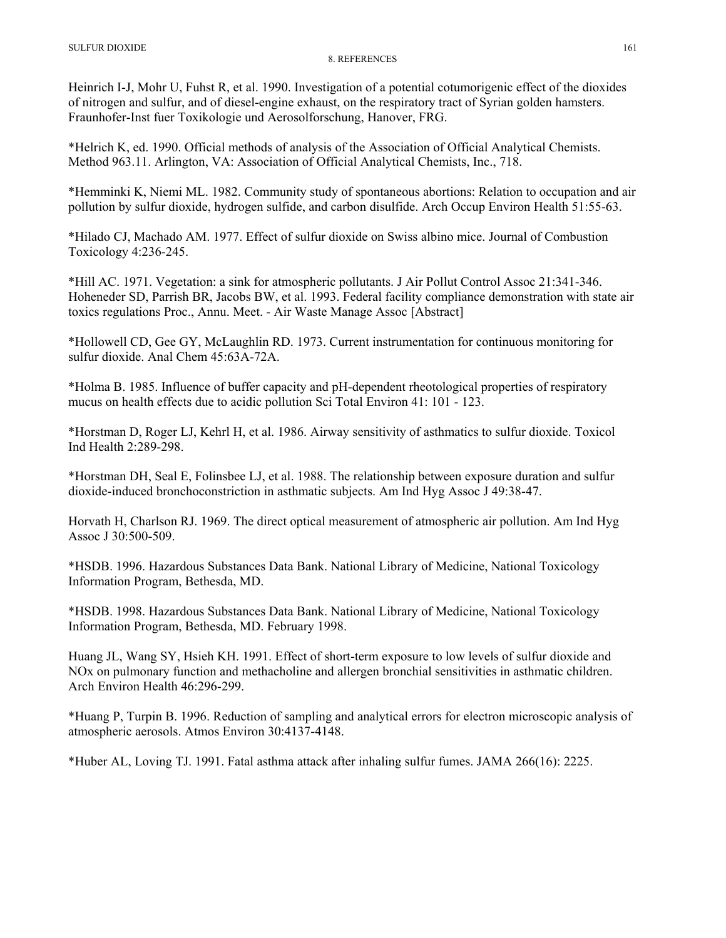Heinrich I-J, Mohr U, Fuhst R, et al. 1990. Investigation of a potential cotumorigenic effect of the dioxides of nitrogen and sulfur, and of diesel-engine exhaust, on the respiratory tract of Syrian golden hamsters. Fraunhofer-Inst fuer Toxikologie und Aerosolforschung, Hanover, FRG.

\*Helrich K, ed. 1990. Official methods of analysis of the Association of Official Analytical Chemists. Method 963.11. Arlington, VA: Association of Official Analytical Chemists, Inc., 718.

\*Hemminki K, Niemi ML. 1982. Community study of spontaneous abortions: Relation to occupation and air pollution by sulfur dioxide, hydrogen sulfide, and carbon disulfide. Arch Occup Environ Health 51:55-63.

\*Hilado CJ, Machado AM. 1977. Effect of sulfur dioxide on Swiss albino mice. Journal of Combustion Toxicology 4:236-245.

\*Hill AC. 1971. Vegetation: a sink for atmospheric pollutants. J Air Pollut Control Assoc 21:341-346. Hoheneder SD, Parrish BR, Jacobs BW, et al. 1993. Federal facility compliance demonstration with state air toxics regulations Proc., Annu. Meet. - Air Waste Manage Assoc [Abstract]

\*Hollowell CD, Gee GY, McLaughlin RD. 1973. Current instrumentation for continuous monitoring for sulfur dioxide. Anal Chem 45:63A-72A.

\*Holma B. 1985. Influence of buffer capacity and pH-dependent rheotological properties of respiratory mucus on health effects due to acidic pollution Sci Total Environ 41: 101 - 123.

\*Horstman D, Roger LJ, Kehrl H, et al. 1986. Airway sensitivity of asthmatics to sulfur dioxide. Toxicol Ind Health 2:289-298.

\*Horstman DH, Seal E, Folinsbee LJ, et al. 1988. The relationship between exposure duration and sulfur dioxide-induced bronchoconstriction in asthmatic subjects. Am Ind Hyg Assoc J 49:38-47.

Horvath H, Charlson RJ. 1969. The direct optical measurement of atmospheric air pollution. Am Ind Hyg Assoc J 30:500-509.

\*HSDB. 1996. Hazardous Substances Data Bank. National Library of Medicine, National Toxicology Information Program, Bethesda, MD.

\*HSDB. 1998. Hazardous Substances Data Bank. National Library of Medicine, National Toxicology Information Program, Bethesda, MD. February 1998.

Huang JL, Wang SY, Hsieh KH. 1991. Effect of short-term exposure to low levels of sulfur dioxide and NOx on pulmonary function and methacholine and allergen bronchial sensitivities in asthmatic children. Arch Environ Health 46:296-299.

\*Huang P, Turpin B. 1996. Reduction of sampling and analytical errors for electron microscopic analysis of atmospheric aerosols. Atmos Environ 30:4137-4148.

\*Huber AL, Loving TJ. 1991. Fatal asthma attack after inhaling sulfur fumes. JAMA 266(16): 2225.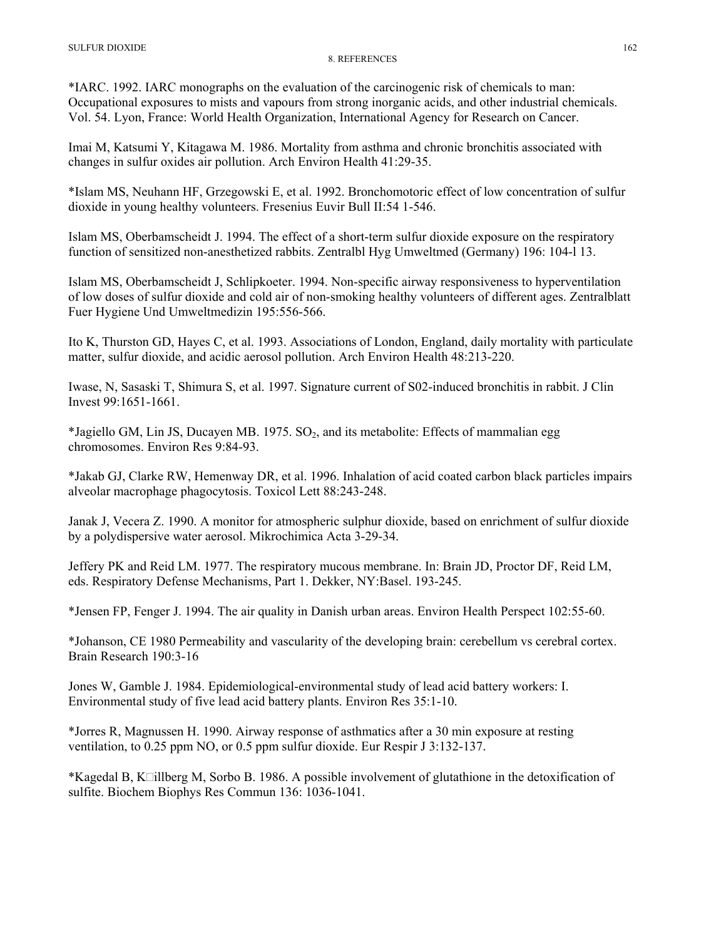\*IARC. 1992. IARC monographs on the evaluation of the carcinogenic risk of chemicals to man: Occupational exposures to mists and vapours from strong inorganic acids, and other industrial chemicals. Vol. 54. Lyon, France: World Health Organization, International Agency for Research on Cancer.

Imai M, Katsumi Y, Kitagawa M. 1986. Mortality from asthma and chronic bronchitis associated with changes in sulfur oxides air pollution. Arch Environ Health 41:29-35.

\*Islam MS, Neuhann HF, Grzegowski E, et al. 1992. Bronchomotoric effect of low concentration of sulfur dioxide in young healthy volunteers. Fresenius Euvir Bull II:54 1-546.

Islam MS, Oberbamscheidt J. 1994. The effect of a short-term sulfur dioxide exposure on the respiratory function of sensitized non-anesthetized rabbits. Zentralbl Hyg Umweltmed (Germany) 196: 104-l 13.

Islam MS, Oberbamscheidt J, Schlipkoeter. 1994. Non-specific airway responsiveness to hyperventilation of low doses of sulfur dioxide and cold air of non-smoking healthy volunteers of different ages. Zentralblatt Fuer Hygiene Und Umweltmedizin 195:556-566.

Ito K, Thurston GD, Hayes C, et al. 1993. Associations of London, England, daily mortality with particulate matter, sulfur dioxide, and acidic aerosol pollution. Arch Environ Health 48:213-220.

Iwase, N, Sasaski T, Shimura S, et al. 1997. Signature current of S02-induced bronchitis in rabbit. J Clin Invest 99:1651-1661.

\*Jagiello GM, Lin JS, Ducayen MB. 1975.  $SO<sub>2</sub>$ , and its metabolite: Effects of mammalian egg chromosomes. Environ Res 9:84-93.

\*Jakab GJ, Clarke RW, Hemenway DR, et al. 1996. Inhalation of acid coated carbon black particles impairs alveolar macrophage phagocytosis. Toxicol Lett 88:243-248.

Janak J, Vecera Z. 1990. A monitor for atmospheric sulphur dioxide, based on enrichment of sulfur dioxide by a polydispersive water aerosol. Mikrochimica Acta 3-29-34.

Jeffery PK and Reid LM. 1977. The respiratory mucous membrane. In: Brain JD, Proctor DF, Reid LM, eds. Respiratory Defense Mechanisms, Part 1. Dekker, NY:Basel. 193-245.

\*Jensen FP, Fenger J. 1994. The air quality in Danish urban areas. Environ Health Perspect 102:55-60.

\*Johanson, CE 1980 Permeability and vascularity of the developing brain: cerebellum vs cerebral cortex. Brain Research 190:3-16

Jones W, Gamble J. 1984. Epidemiological-environmental study of lead acid battery workers: I. Environmental study of five lead acid battery plants. Environ Res 35:1-10.

\*Jorres R, Magnussen H. 1990. Airway response of asthmatics after a 30 min exposure at resting ventilation, to 0.25 ppm NO, or 0.5 ppm sulfur dioxide. Eur Respir J 3:132-137.

\*Kagedal B, K $\Box$ illberg M, Sorbo B. 1986. A possible involvement of glutathione in the detoxification of sulfite. Biochem Biophys Res Commun 136: 1036-1041.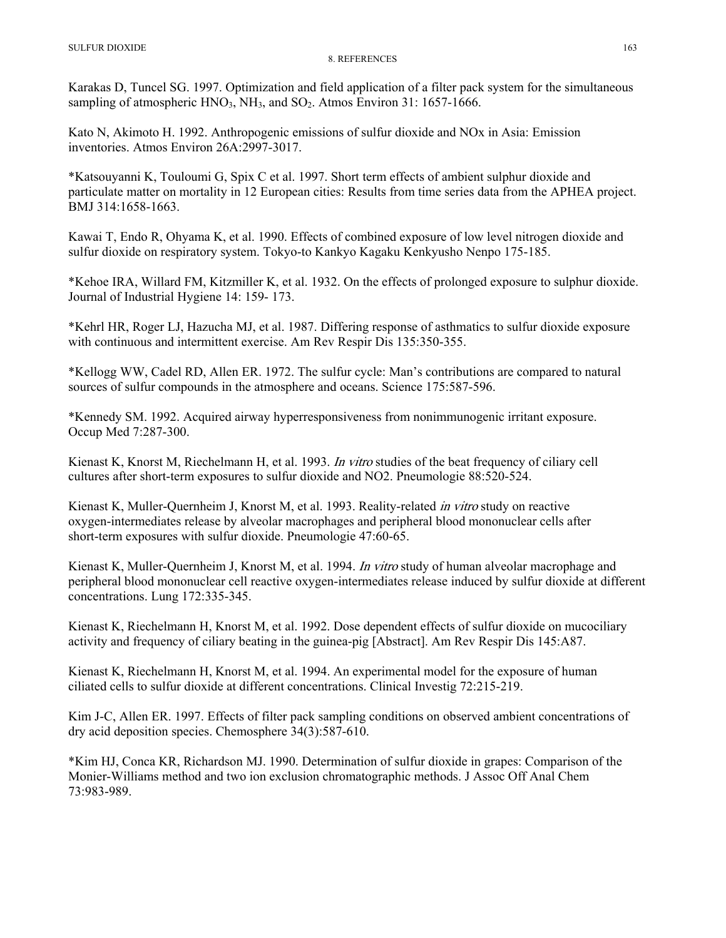Karakas D, Tuncel SG. 1997. Optimization and field application of a filter pack system for the simultaneous sampling of atmospheric  $HNO_3$ ,  $NH_3$ , and  $SO_2$ . Atmos Environ 31: 1657-1666.

Kato N, Akimoto H. 1992. Anthropogenic emissions of sulfur dioxide and NOx in Asia: Emission inventories. Atmos Environ 26A:2997-3017.

\*Katsouyanni K, Touloumi G, Spix C et al. 1997. Short term effects of ambient sulphur dioxide and particulate matter on mortality in 12 European cities: Results from time series data from the APHEA project. BMJ 314:1658-1663.

Kawai T, Endo R, Ohyama K, et al. 1990. Effects of combined exposure of low level nitrogen dioxide and sulfur dioxide on respiratory system. Tokyo-to Kankyo Kagaku Kenkyusho Nenpo 175-185.

\*Kehoe IRA, Willard FM, Kitzmiller K, et al. 1932. On the effects of prolonged exposure to sulphur dioxide. Journal of Industrial Hygiene 14: 159- 173.

\*Kehrl HR, Roger LJ, Hazucha MJ, et al. 1987. Differing response of asthmatics to sulfur dioxide exposure with continuous and intermittent exercise. Am Rev Respir Dis 135:350-355.

\*Kellogg WW, Cadel RD, Allen ER. 1972. The sulfur cycle: Man's contributions are compared to natural sources of sulfur compounds in the atmosphere and oceans. Science 175:587-596.

\*Kennedy SM. 1992. Acquired airway hyperresponsiveness from nonimmunogenic irritant exposure. Occup Med 7:287-300.

Kienast K, Knorst M, Riechelmann H, et al. 1993. *In vitro* studies of the beat frequency of ciliary cell cultures after short-term exposures to sulfur dioxide and NO2. Pneumologie 88:520-524.

Kienast K, Muller-Quernheim J, Knorst M, et al. 1993. Reality-related *in vitro* study on reactive oxygen-intermediates release by alveolar macrophages and peripheral blood mononuclear cells after short-term exposures with sulfur dioxide. Pneumologie 47:60-65.

Kienast K, Muller-Quernheim J, Knorst M, et al. 1994. In vitro study of human alveolar macrophage and peripheral blood mononuclear cell reactive oxygen-intermediates release induced by sulfur dioxide at different concentrations. Lung 172:335-345.

Kienast K, Riechelmann H, Knorst M, et al. 1992. Dose dependent effects of sulfur dioxide on mucociliary activity and frequency of ciliary beating in the guinea-pig [Abstract]. Am Rev Respir Dis 145:A87.

Kienast K, Riechelmann H, Knorst M, et al. 1994. An experimental model for the exposure of human ciliated cells to sulfur dioxide at different concentrations. Clinical Investig 72:215-219.

Kim J-C, Allen ER. 1997. Effects of filter pack sampling conditions on observed ambient concentrations of dry acid deposition species. Chemosphere 34(3):587-610.

\*Kim HJ, Conca KR, Richardson MJ. 1990. Determination of sulfur dioxide in grapes: Comparison of the Monier-Williams method and two ion exclusion chromatographic methods. J Assoc Off Anal Chem 73:983-989.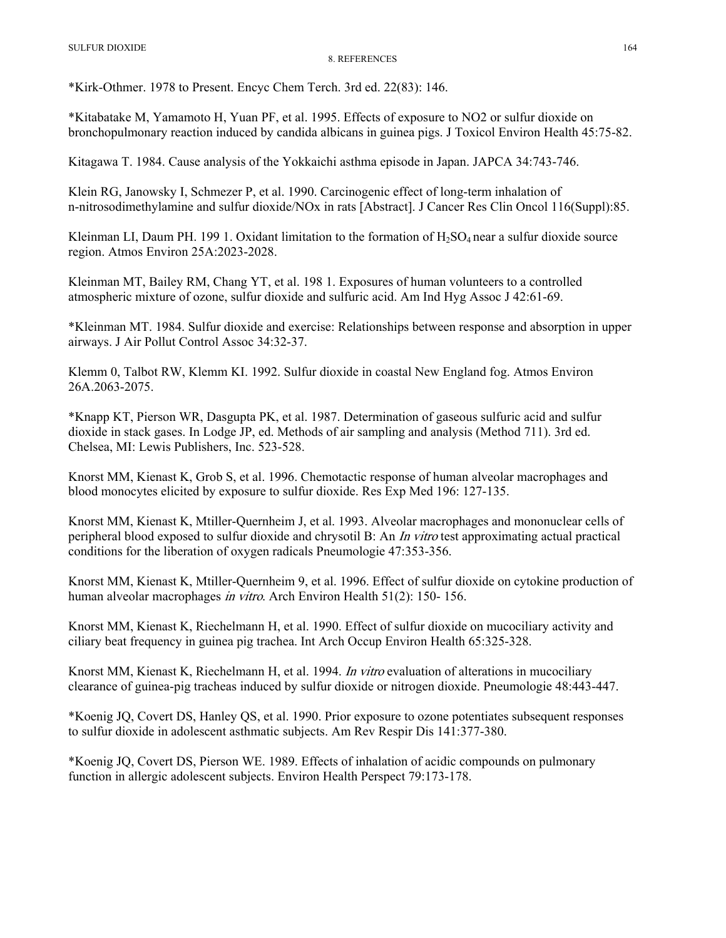SULFUR DIOXIDE 164

## 8. REFERENCES

\*Kirk-Othmer. 1978 to Present. Encyc Chem Terch. 3rd ed. 22(83): 146.

\*Kitabatake M, Yamamoto H, Yuan PF, et al. 1995. Effects of exposure to NO2 or sulfur dioxide on bronchopulmonary reaction induced by candida albicans in guinea pigs. J Toxicol Environ Health 45:75-82.

Kitagawa T. 1984. Cause analysis of the Yokkaichi asthma episode in Japan. JAPCA 34:743-746.

Klein RG, Janowsky I, Schmezer P, et al. 1990. Carcinogenic effect of long-term inhalation of n-nitrosodimethylamine and sulfur dioxide/NOx in rats [Abstract]. J Cancer Res Clin Oncol 116(Suppl):85.

Kleinman LI, Daum PH. 199 1. Oxidant limitation to the formation of  $H_2SO_4$  near a sulfur dioxide source region. Atmos Environ 25A:2023-2028.

Kleinman MT, Bailey RM, Chang YT, et al. 198 1. Exposures of human volunteers to a controlled atmospheric mixture of ozone, sulfur dioxide and sulfuric acid. Am Ind Hyg Assoc J 42:61-69.

\*Kleinman MT. 1984. Sulfur dioxide and exercise: Relationships between response and absorption in upper airways. J Air Pollut Control Assoc 34:32-37.

Klemm 0, Talbot RW, Klemm KI. 1992. Sulfur dioxide in coastal New England fog. Atmos Environ 26A.2063-2075.

\*Knapp KT, Pierson WR, Dasgupta PK, et al. 1987. Determination of gaseous sulfuric acid and sulfur dioxide in stack gases. In Lodge JP, ed. Methods of air sampling and analysis (Method 711). 3rd ed. Chelsea, MI: Lewis Publishers, Inc. 523-528.

Knorst MM, Kienast K, Grob S, et al. 1996. Chemotactic response of human alveolar macrophages and blood monocytes elicited by exposure to sulfur dioxide. Res Exp Med 196: 127-135.

Knorst MM, Kienast K, Mtiller-Quernheim J, et al. 1993. Alveolar macrophages and mononuclear cells of peripheral blood exposed to sulfur dioxide and chrysotil B: An In vitro test approximating actual practical conditions for the liberation of oxygen radicals Pneumologie 47:353-356.

Knorst MM, Kienast K, Mtiller-Quernheim 9, et al. 1996. Effect of sulfur dioxide on cytokine production of human alveolar macrophages *in vitro*. Arch Environ Health 51(2): 150-156.

Knorst MM, Kienast K, Riechelmann H, et al. 1990. Effect of sulfur dioxide on mucociliary activity and ciliary beat frequency in guinea pig trachea. Int Arch Occup Environ Health 65:325-328.

Knorst MM, Kienast K, Riechelmann H, et al. 1994. *In vitro* evaluation of alterations in mucociliary clearance of guinea-pig tracheas induced by sulfur dioxide or nitrogen dioxide. Pneumologie 48:443-447.

\*Koenig JQ, Covert DS, Hanley QS, et al. 1990. Prior exposure to ozone potentiates subsequent responses to sulfur dioxide in adolescent asthmatic subjects. Am Rev Respir Dis 141:377-380.

\*Koenig JQ, Covert DS, Pierson WE. 1989. Effects of inhalation of acidic compounds on pulmonary function in allergic adolescent subjects. Environ Health Perspect 79:173-178.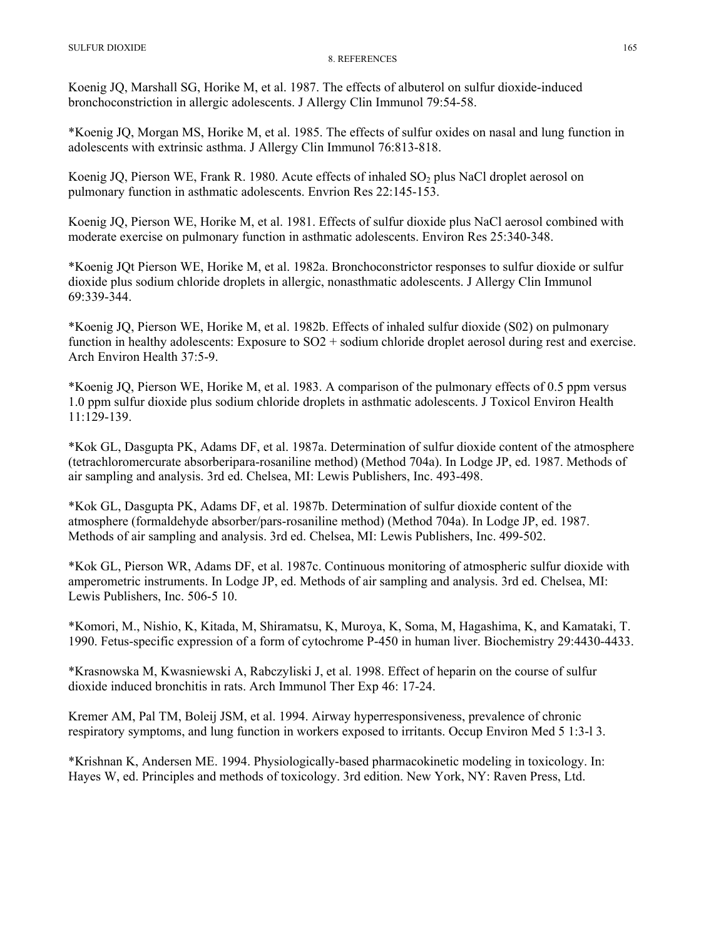Koenig JQ, Marshall SG, Horike M, et al. 1987. The effects of albuterol on sulfur dioxide-induced bronchoconstriction in allergic adolescents. J Allergy Clin Immunol 79:54-58.

\*Koenig JQ, Morgan MS, Horike M, et al. 1985. The effects of sulfur oxides on nasal and lung function in adolescents with extrinsic asthma. J Allergy Clin Immunol 76:813-818.

Koenig JQ, Pierson WE, Frank R. 1980. Acute effects of inhaled  $SO<sub>2</sub>$  plus NaCl droplet aerosol on pulmonary function in asthmatic adolescents. Envrion Res 22:145-153.

Koenig JQ, Pierson WE, Horike M, et al. 1981. Effects of sulfur dioxide plus NaCl aerosol combined with moderate exercise on pulmonary function in asthmatic adolescents. Environ Res 25:340-348.

\*Koenig JQt Pierson WE, Horike M, et al. 1982a. Bronchoconstrictor responses to sulfur dioxide or sulfur dioxide plus sodium chloride droplets in allergic, nonasthmatic adolescents. J Allergy Clin Immunol 69:339-344.

\*Koenig JQ, Pierson WE, Horike M, et al. 1982b. Effects of inhaled sulfur dioxide (S02) on pulmonary function in healthy adolescents: Exposure to SO2 + sodium chloride droplet aerosol during rest and exercise. Arch Environ Health 37:5-9.

\*Koenig JQ, Pierson WE, Horike M, et al. 1983. A comparison of the pulmonary effects of 0.5 ppm versus 1.0 ppm sulfur dioxide plus sodium chloride droplets in asthmatic adolescents. J Toxicol Environ Health 11:129-139.

\*Kok GL, Dasgupta PK, Adams DF, et al. 1987a. Determination of sulfur dioxide content of the atmosphere (tetrachloromercurate absorberipara-rosaniline method) (Method 704a). In Lodge JP, ed. 1987. Methods of air sampling and analysis. 3rd ed. Chelsea, MI: Lewis Publishers, Inc. 493-498.

\*Kok GL, Dasgupta PK, Adams DF, et al. 1987b. Determination of sulfur dioxide content of the atmosphere (formaldehyde absorber/pars-rosaniline method) (Method 704a). In Lodge JP, ed. 1987. Methods of air sampling and analysis. 3rd ed. Chelsea, MI: Lewis Publishers, Inc. 499-502.

\*Kok GL, Pierson WR, Adams DF, et al. 1987c. Continuous monitoring of atmospheric sulfur dioxide with amperometric instruments. In Lodge JP, ed. Methods of air sampling and analysis. 3rd ed. Chelsea, MI: Lewis Publishers, Inc. 506-5 10.

\*Komori, M., Nishio, K, Kitada, M, Shiramatsu, K, Muroya, K, Soma, M, Hagashima, K, and Kamataki, T. 1990. Fetus-specific expression of a form of cytochrome P-450 in human liver. Biochemistry 29:4430-4433.

\*Krasnowska M, Kwasniewski A, Rabczyliski J, et al. 1998. Effect of heparin on the course of sulfur dioxide induced bronchitis in rats. Arch Immunol Ther Exp 46: 17-24.

Kremer AM, Pal TM, Boleij JSM, et al. 1994. Airway hyperresponsiveness, prevalence of chronic respiratory symptoms, and lung function in workers exposed to irritants. Occup Environ Med 5 1:3-l 3.

\*Krishnan K, Andersen ME. 1994. Physiologically-based pharmacokinetic modeling in toxicology. In: Hayes W, ed. Principles and methods of toxicology. 3rd edition. New York, NY: Raven Press, Ltd.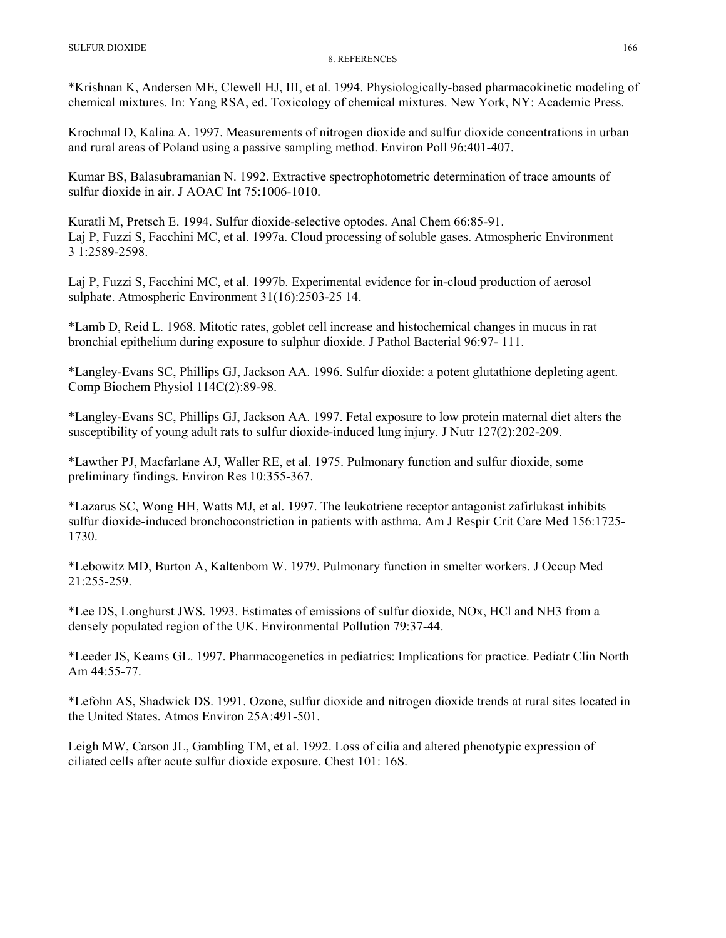\*Krishnan K, Andersen ME, Clewell HJ, III, et al. 1994. Physiologically-based pharmacokinetic modeling of chemical mixtures. In: Yang RSA, ed. Toxicology of chemical mixtures. New York, NY: Academic Press.

Krochmal D, Kalina A. 1997. Measurements of nitrogen dioxide and sulfur dioxide concentrations in urban and rural areas of Poland using a passive sampling method. Environ Poll 96:401-407.

Kumar BS, Balasubramanian N. 1992. Extractive spectrophotometric determination of trace amounts of sulfur dioxide in air. J AOAC Int 75:1006-1010.

Kuratli M, Pretsch E. 1994. Sulfur dioxide-selective optodes. Anal Chem 66:85-91. Laj P, Fuzzi S, Facchini MC, et al. 1997a. Cloud processing of soluble gases. Atmospheric Environment 3 1:2589-2598.

Laj P, Fuzzi S, Facchini MC, et al. 1997b. Experimental evidence for in-cloud production of aerosol sulphate. Atmospheric Environment 31(16):2503-25 14.

\*Lamb D, Reid L. 1968. Mitotic rates, goblet cell increase and histochemical changes in mucus in rat bronchial epithelium during exposure to sulphur dioxide. J Pathol Bacterial 96:97- 111.

\*Langley-Evans SC, Phillips GJ, Jackson AA. 1996. Sulfur dioxide: a potent glutathione depleting agent. Comp Biochem Physiol 114C(2):89-98.

\*Langley-Evans SC, Phillips GJ, Jackson AA. 1997. Fetal exposure to low protein maternal diet alters the susceptibility of young adult rats to sulfur dioxide-induced lung injury. J Nutr 127(2):202-209.

\*Lawther PJ, Macfarlane AJ, Waller RE, et al. 1975. Pulmonary function and sulfur dioxide, some preliminary findings. Environ Res 10:355-367.

\*Lazarus SC, Wong HH, Watts MJ, et al. 1997. The leukotriene receptor antagonist zafirlukast inhibits sulfur dioxide-induced bronchoconstriction in patients with asthma. Am J Respir Crit Care Med 156:1725 1730.

\*Lebowitz MD, Burton A, Kaltenbom W. 1979. Pulmonary function in smelter workers. J Occup Med 21:255-259.

\*Lee DS, Longhurst JWS. 1993. Estimates of emissions of sulfur dioxide, NOx, HCl and NH3 from a densely populated region of the UK. Environmental Pollution 79:37-44.

\*Leeder JS, Keams GL. 1997. Pharmacogenetics in pediatrics: Implications for practice. Pediatr Clin North Am 44:55-77.

\*Lefohn AS, Shadwick DS. 1991. Ozone, sulfur dioxide and nitrogen dioxide trends at rural sites located in the United States. Atmos Environ 25A:491-501.

Leigh MW, Carson JL, Gambling TM, et al. 1992. Loss of cilia and altered phenotypic expression of ciliated cells after acute sulfur dioxide exposure. Chest 101: 16S.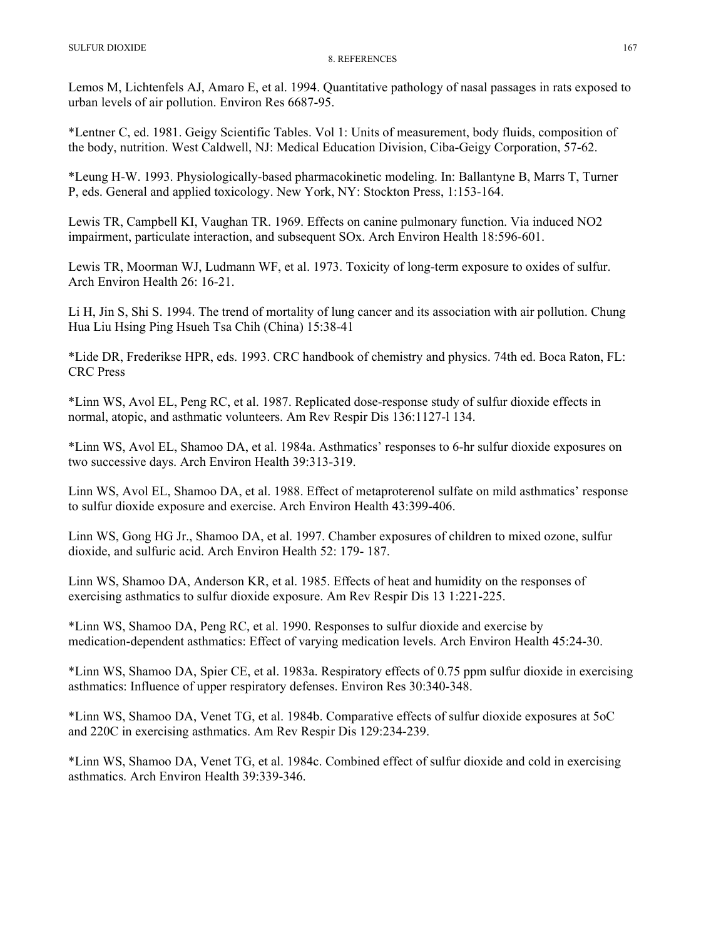Lemos M, Lichtenfels AJ, Amaro E, et al. 1994. Quantitative pathology of nasal passages in rats exposed to urban levels of air pollution. Environ Res 6687-95.

\*Lentner C, ed. 1981. Geigy Scientific Tables. Vol 1: Units of measurement, body fluids, composition of the body, nutrition. West Caldwell, NJ: Medical Education Division, Ciba-Geigy Corporation, 57-62.

\*Leung H-W. 1993. Physiologically-based pharmacokinetic modeling. In: Ballantyne B, Marrs T, Turner P, eds. General and applied toxicology. New York, NY: Stockton Press, 1:153-164.

Lewis TR, Campbell KI, Vaughan TR. 1969. Effects on canine pulmonary function. Via induced NO2 impairment, particulate interaction, and subsequent SOx. Arch Environ Health 18:596-601.

Lewis TR, Moorman WJ, Ludmann WF, et al. 1973. Toxicity of long-term exposure to oxides of sulfur. Arch Environ Health 26: 16-21.

Li H, Jin S, Shi S. 1994. The trend of mortality of lung cancer and its association with air pollution. Chung Hua Liu Hsing Ping Hsueh Tsa Chih (China) 15:38-41

\*Lide DR, Frederikse HPR, eds. 1993. CRC handbook of chemistry and physics. 74th ed. Boca Raton, FL: CRC Press

\*Linn WS, Avol EL, Peng RC, et al. 1987. Replicated dose-response study of sulfur dioxide effects in normal, atopic, and asthmatic volunteers. Am Rev Respir Dis 136:1127-l 134.

\*Linn WS, Avol EL, Shamoo DA, et al. 1984a. Asthmatics' responses to 6-hr sulfur dioxide exposures on two successive days. Arch Environ Health 39:313-319.

Linn WS, Avol EL, Shamoo DA, et al. 1988. Effect of metaproterenol sulfate on mild asthmatics' response to sulfur dioxide exposure and exercise. Arch Environ Health 43:399-406.

Linn WS, Gong HG Jr., Shamoo DA, et al. 1997. Chamber exposures of children to mixed ozone, sulfur dioxide, and sulfuric acid. Arch Environ Health 52: 179- 187.

Linn WS, Shamoo DA, Anderson KR, et al. 1985. Effects of heat and humidity on the responses of exercising asthmatics to sulfur dioxide exposure. Am Rev Respir Dis 13 1:221-225.

\*Linn WS, Shamoo DA, Peng RC, et al. 1990. Responses to sulfur dioxide and exercise by medication-dependent asthmatics: Effect of varying medication levels. Arch Environ Health 45:24-30.

\*Linn WS, Shamoo DA, Spier CE, et al. 1983a. Respiratory effects of 0.75 ppm sulfur dioxide in exercising asthmatics: Influence of upper respiratory defenses. Environ Res 30:340-348.

\*Linn WS, Shamoo DA, Venet TG, et al. 1984b. Comparative effects of sulfur dioxide exposures at 5oC and 220C in exercising asthmatics. Am Rev Respir Dis 129:234-239.

\*Linn WS, Shamoo DA, Venet TG, et al. 1984c. Combined effect of sulfur dioxide and cold in exercising asthmatics. Arch Environ Health 39:339-346.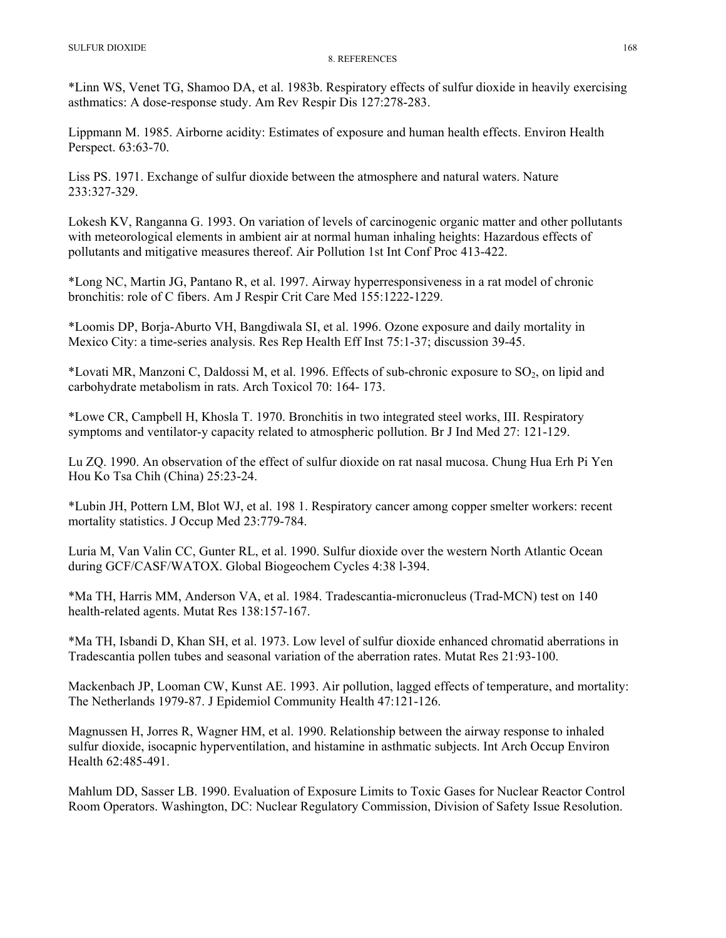\*Linn WS, Venet TG, Shamoo DA, et al. 1983b. Respiratory effects of sulfur dioxide in heavily exercising asthmatics: A dose-response study. Am Rev Respir Dis 127:278-283.

Lippmann M. 1985. Airborne acidity: Estimates of exposure and human health effects. Environ Health Perspect. 63:63-70.

Liss PS. 1971. Exchange of sulfur dioxide between the atmosphere and natural waters. Nature 233:327-329.

Lokesh KV, Ranganna G. 1993. On variation of levels of carcinogenic organic matter and other pollutants with meteorological elements in ambient air at normal human inhaling heights: Hazardous effects of pollutants and mitigative measures thereof. Air Pollution 1st Int Conf Proc 413-422.

\*Long NC, Martin JG, Pantano R, et al. 1997. Airway hyperresponsiveness in a rat model of chronic bronchitis: role of C fibers. Am J Respir Crit Care Med 155:1222-1229.

\*Loomis DP, Borja-Aburto VH, Bangdiwala SI, et al. 1996. Ozone exposure and daily mortality in Mexico City: a time-series analysis. Res Rep Health Eff Inst 75:1-37; discussion 39-45.

\*Lovati MR, Manzoni C, Daldossi M, et al. 1996. Effects of sub-chronic exposure to  $SO_2$ , on lipid and carbohydrate metabolism in rats. Arch Toxicol 70: 164- 173.

\*Lowe CR, Campbell H, Khosla T. 1970. Bronchitis in two integrated steel works, III. Respiratory symptoms and ventilator-y capacity related to atmospheric pollution. Br J Ind Med 27: 121-129.

Lu ZQ. 1990. An observation of the effect of sulfur dioxide on rat nasal mucosa. Chung Hua Erh Pi Yen Hou Ko Tsa Chih (China) 25:23-24.

\*Lubin JH, Pottern LM, Blot WJ, et al. 198 1. Respiratory cancer among copper smelter workers: recent mortality statistics. J Occup Med 23:779-784.

Luria M, Van Valin CC, Gunter RL, et al. 1990. Sulfur dioxide over the western North Atlantic Ocean during GCF/CASF/WATOX. Global Biogeochem Cycles 4:38 l-394.

\*Ma TH, Harris MM, Anderson VA, et al. 1984. Tradescantia-micronucleus (Trad-MCN) test on 140 health-related agents. Mutat Res 138:157-167.

\*Ma TH, Isbandi D, Khan SH, et al. 1973. Low level of sulfur dioxide enhanced chromatid aberrations in Tradescantia pollen tubes and seasonal variation of the aberration rates. Mutat Res 21:93-100.

Mackenbach JP, Looman CW, Kunst AE. 1993. Air pollution, lagged effects of temperature, and mortality: The Netherlands 1979-87. J Epidemiol Community Health 47:121-126.

Magnussen H, Jorres R, Wagner HM, et al. 1990. Relationship between the airway response to inhaled sulfur dioxide, isocapnic hyperventilation, and histamine in asthmatic subjects. Int Arch Occup Environ Health 62:485-491.

Mahlum DD, Sasser LB. 1990. Evaluation of Exposure Limits to Toxic Gases for Nuclear Reactor Control Room Operators. Washington, DC: Nuclear Regulatory Commission, Division of Safety Issue Resolution.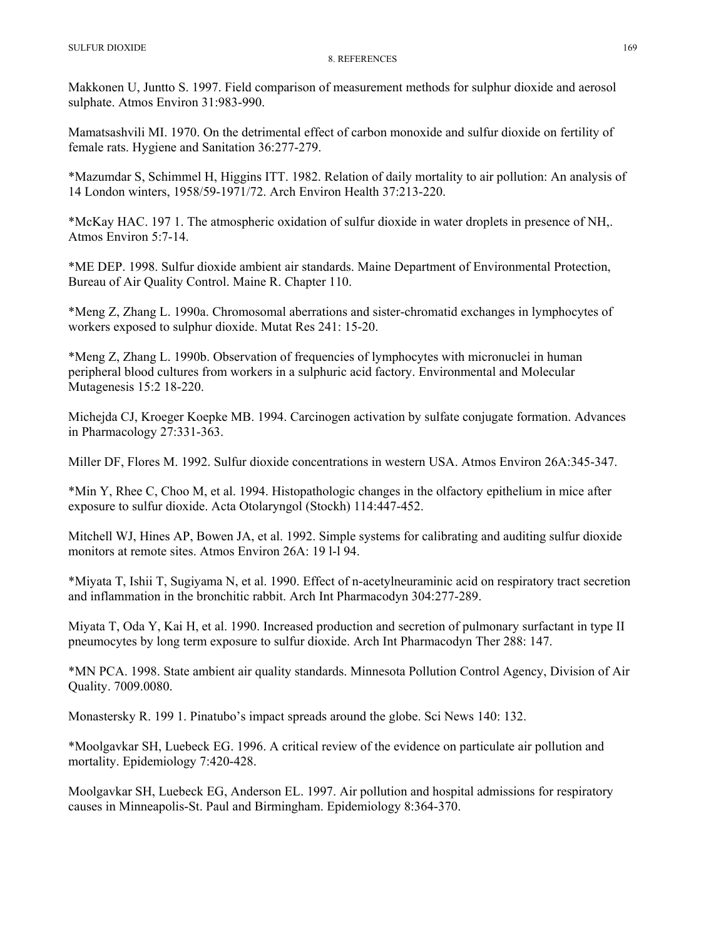Makkonen U, Juntto S. 1997. Field comparison of measurement methods for sulphur dioxide and aerosol sulphate. Atmos Environ 31:983-990.

Mamatsashvili MI. 1970. On the detrimental effect of carbon monoxide and sulfur dioxide on fertility of female rats. Hygiene and Sanitation 36:277-279.

\*Mazumdar S, Schimmel H, Higgins ITT. 1982. Relation of daily mortality to air pollution: An analysis of 14 London winters, 1958/59-1971/72. Arch Environ Health 37:213-220.

\*McKay HAC. 197 1. The atmospheric oxidation of sulfur dioxide in water droplets in presence of NH,. Atmos Environ 5:7-14.

\*ME DEP. 1998. Sulfur dioxide ambient air standards. Maine Department of Environmental Protection, Bureau of Air Quality Control. Maine R. Chapter 110.

\*Meng Z, Zhang L. 1990a. Chromosomal aberrations and sister-chromatid exchanges in lymphocytes of workers exposed to sulphur dioxide. Mutat Res 241: 15-20.

\*Meng Z, Zhang L. 1990b. Observation of frequencies of lymphocytes with micronuclei in human peripheral blood cultures from workers in a sulphuric acid factory. Environmental and Molecular Mutagenesis 15:2 18-220.

Michejda CJ, Kroeger Koepke MB. 1994. Carcinogen activation by sulfate conjugate formation. Advances in Pharmacology 27:331-363.

Miller DF, Flores M. 1992. Sulfur dioxide concentrations in western USA. Atmos Environ 26A:345-347.

\*Min Y, Rhee C, Choo M, et al. 1994. Histopathologic changes in the olfactory epithelium in mice after exposure to sulfur dioxide. Acta Otolaryngol (Stockh) 114:447-452.

Mitchell WJ, Hines AP, Bowen JA, et al. 1992. Simple systems for calibrating and auditing sulfur dioxide monitors at remote sites. Atmos Environ 26A: 19 l-l 94.

\*Miyata T, Ishii T, Sugiyama N, et al. 1990. Effect of n-acetylneuraminic acid on respiratory tract secretion and inflammation in the bronchitic rabbit. Arch Int Pharmacodyn 304:277-289.

Miyata T, Oda Y, Kai H, et al. 1990. Increased production and secretion of pulmonary surfactant in type II pneumocytes by long term exposure to sulfur dioxide. Arch Int Pharmacodyn Ther 288: 147.

\*MN PCA. 1998. State ambient air quality standards. Minnesota Pollution Control Agency, Division of Air Quality. 7009.0080.

Monastersky R. 199 1. Pinatubo's impact spreads around the globe. Sci News 140: 132.

\*Moolgavkar SH, Luebeck EG. 1996. A critical review of the evidence on particulate air pollution and mortality. Epidemiology 7:420-428.

Moolgavkar SH, Luebeck EG, Anderson EL. 1997. Air pollution and hospital admissions for respiratory causes in Minneapolis-St. Paul and Birmingham. Epidemiology 8:364-370.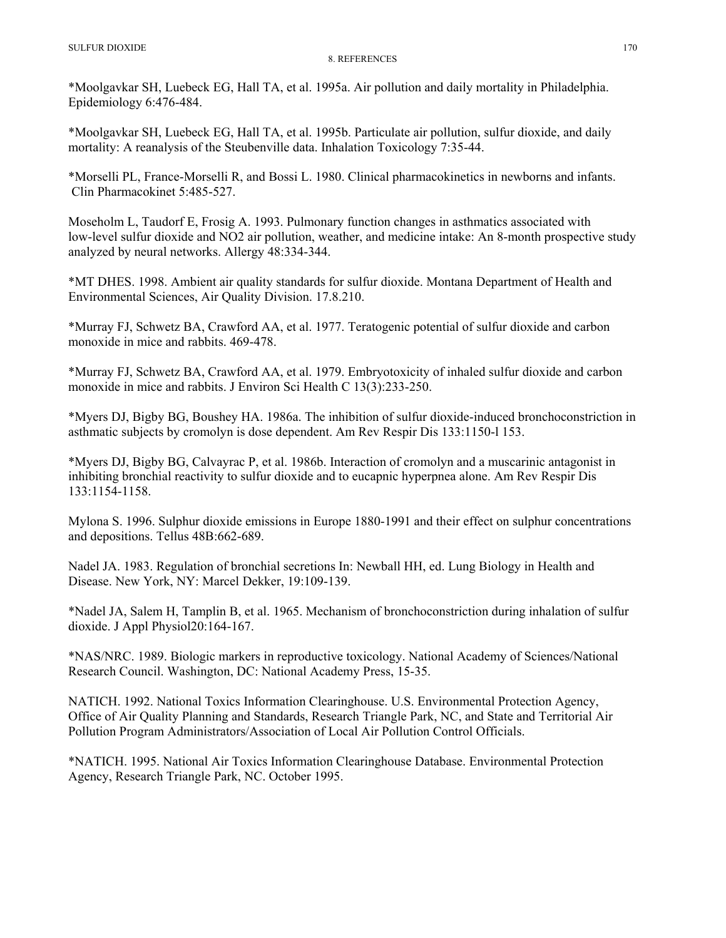\*Moolgavkar SH, Luebeck EG, Hall TA, et al. 1995a. Air pollution and daily mortality in Philadelphia. Epidemiology 6:476-484.

\*Moolgavkar SH, Luebeck EG, Hall TA, et al. 1995b. Particulate air pollution, sulfur dioxide, and daily mortality: A reanalysis of the Steubenville data. Inhalation Toxicology 7:35-44.

\*Morselli PL, France-Morselli R, and Bossi L. 1980. Clinical pharmacokinetics in newborns and infants. Clin Pharmacokinet 5:485-527.

Moseholm L, Taudorf E, Frosig A. 1993. Pulmonary function changes in asthmatics associated with low-level sulfur dioxide and NO2 air pollution, weather, and medicine intake: An 8-month prospective study analyzed by neural networks. Allergy 48:334-344.

\*MT DHES. 1998. Ambient air quality standards for sulfur dioxide. Montana Department of Health and Environmental Sciences, Air Quality Division. 17.8.210.

\*Murray FJ, Schwetz BA, Crawford AA, et al. 1977. Teratogenic potential of sulfur dioxide and carbon monoxide in mice and rabbits. 469-478.

\*Murray FJ, Schwetz BA, Crawford AA, et al. 1979. Embryotoxicity of inhaled sulfur dioxide and carbon monoxide in mice and rabbits. J Environ Sci Health C 13(3):233-250.

\*Myers DJ, Bigby BG, Boushey HA. 1986a. The inhibition of sulfur dioxide-induced bronchoconstriction in asthmatic subjects by cromolyn is dose dependent. Am Rev Respir Dis 133:1150-l 153.

\*Myers DJ, Bigby BG, Calvayrac P, et al. 1986b. Interaction of cromolyn and a muscarinic antagonist in inhibiting bronchial reactivity to sulfur dioxide and to eucapnic hyperpnea alone. Am Rev Respir Dis 133:1154-1158.

Mylona S. 1996. Sulphur dioxide emissions in Europe 1880-1991 and their effect on sulphur concentrations and depositions. Tellus 48B:662-689.

Nadel JA. 1983. Regulation of bronchial secretions In: Newball HH, ed. Lung Biology in Health and Disease. New York, NY: Marcel Dekker, 19:109-139.

\*Nadel JA, Salem H, Tamplin B, et al. 1965. Mechanism of bronchoconstriction during inhalation of sulfur dioxide. J Appl Physiol20:164-167.

\*NAS/NRC. 1989. Biologic markers in reproductive toxicology. National Academy of Sciences/National Research Council. Washington, DC: National Academy Press, 15-35.

NATICH. 1992. National Toxics Information Clearinghouse. U.S. Environmental Protection Agency, Office of Air Quality Planning and Standards, Research Triangle Park, NC, and State and Territorial Air Pollution Program Administrators/Association of Local Air Pollution Control Officials.

\*NATICH. 1995. National Air Toxics Information Clearinghouse Database. Environmental Protection Agency, Research Triangle Park, NC. October 1995.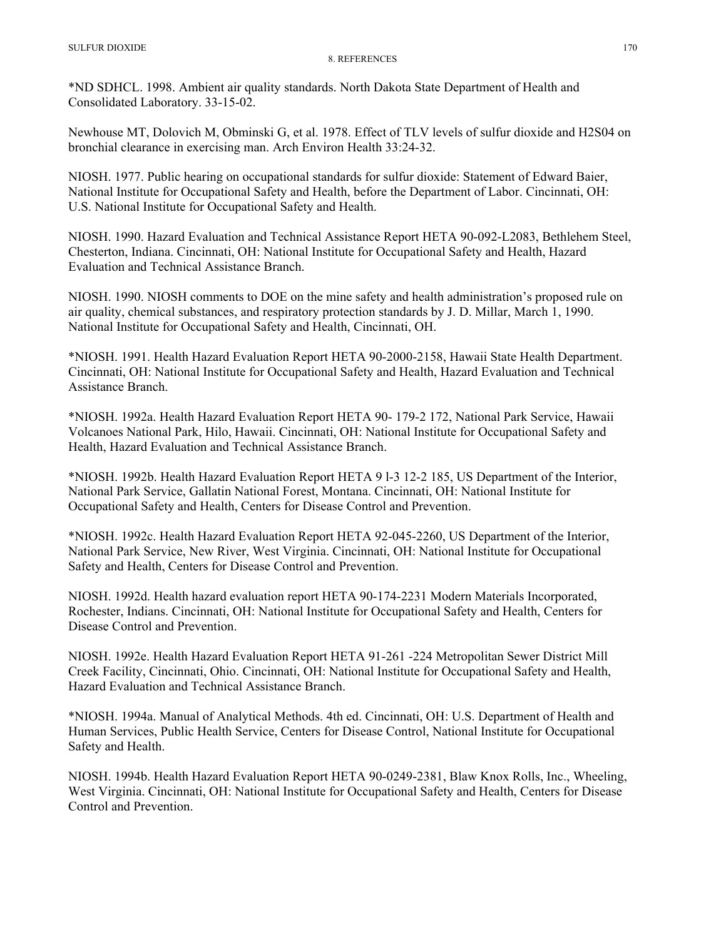\*ND SDHCL. 1998. Ambient air quality standards. North Dakota State Department of Health and Consolidated Laboratory. 33-15-02.

Newhouse MT, Dolovich M, Obminski G, et al. 1978. Effect of TLV levels of sulfur dioxide and H2S04 on bronchial clearance in exercising man. Arch Environ Health 33:24-32.

NIOSH. 1977. Public hearing on occupational standards for sulfur dioxide: Statement of Edward Baier, National Institute for Occupational Safety and Health, before the Department of Labor. Cincinnati, OH: U.S. National Institute for Occupational Safety and Health.

NIOSH. 1990. Hazard Evaluation and Technical Assistance Report HETA 90-092-L2083, Bethlehem Steel, Chesterton, Indiana. Cincinnati, OH: National Institute for Occupational Safety and Health, Hazard Evaluation and Technical Assistance Branch.

NIOSH. 1990. NIOSH comments to DOE on the mine safety and health administration's proposed rule on air quality, chemical substances, and respiratory protection standards by J. D. Millar, March 1, 1990. National Institute for Occupational Safety and Health, Cincinnati, OH.

\*NIOSH. 1991. Health Hazard Evaluation Report HETA 90-2000-2158, Hawaii State Health Department. Cincinnati, OH: National Institute for Occupational Safety and Health, Hazard Evaluation and Technical Assistance Branch.

\*NIOSH. 1992a. Health Hazard Evaluation Report HETA 90- 179-2 172, National Park Service, Hawaii Volcanoes National Park, Hilo, Hawaii. Cincinnati, OH: National Institute for Occupational Safety and Health, Hazard Evaluation and Technical Assistance Branch.

\*NIOSH. 1992b. Health Hazard Evaluation Report HETA 9 l-3 12-2 185, US Department of the Interior, National Park Service, Gallatin National Forest, Montana. Cincinnati, OH: National Institute for Occupational Safety and Health, Centers for Disease Control and Prevention.

\*NIOSH. 1992c. Health Hazard Evaluation Report HETA 92-045-2260, US Department of the Interior, National Park Service, New River, West Virginia. Cincinnati, OH: National Institute for Occupational Safety and Health, Centers for Disease Control and Prevention.

NIOSH. 1992d. Health hazard evaluation report HETA 90-174-2231 Modern Materials Incorporated, Rochester, Indians. Cincinnati, OH: National Institute for Occupational Safety and Health, Centers for Disease Control and Prevention.

NIOSH. 1992e. Health Hazard Evaluation Report HETA 91-261 -224 Metropolitan Sewer District Mill Creek Facility, Cincinnati, Ohio. Cincinnati, OH: National Institute for Occupational Safety and Health, Hazard Evaluation and Technical Assistance Branch.

\*NIOSH. 1994a. Manual of Analytical Methods. 4th ed. Cincinnati, OH: U.S. Department of Health and Human Services, Public Health Service, Centers for Disease Control, National Institute for Occupational Safety and Health.

NIOSH. 1994b. Health Hazard Evaluation Report HETA 90-0249-2381, Blaw Knox Rolls, Inc., Wheeling, West Virginia. Cincinnati, OH: National Institute for Occupational Safety and Health, Centers for Disease Control and Prevention.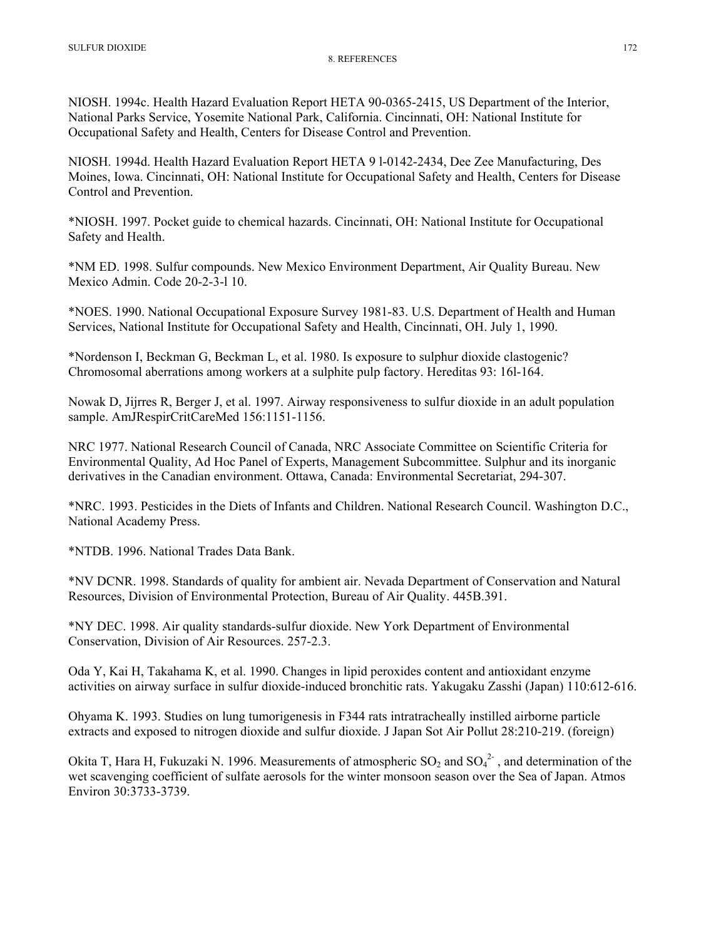NIOSH. 1994c. Health Hazard Evaluation Report HETA 90-0365-2415, US Department of the Interior, National Parks Service, Yosemite National Park, California. Cincinnati, OH: National Institute for Occupational Safety and Health, Centers for Disease Control and Prevention.

NIOSH. 1994d. Health Hazard Evaluation Report HETA 9 l-0142-2434, Dee Zee Manufacturing, Des Moines, Iowa. Cincinnati, OH: National Institute for Occupational Safety and Health, Centers for Disease Control and Prevention.

\*NIOSH. 1997. Pocket guide to chemical hazards. Cincinnati, OH: National Institute for Occupational Safety and Health.

\*NM ED. 1998. Sulfur compounds. New Mexico Environment Department, Air Quality Bureau. New Mexico Admin. Code 20-2-3-l 10.

\*NOES. 1990. National Occupational Exposure Survey 1981-83. U.S. Department of Health and Human Services, National Institute for Occupational Safety and Health, Cincinnati, OH. July 1, 1990.

\*Nordenson I, Beckman G, Beckman L, et al. 1980. Is exposure to sulphur dioxide clastogenic? Chromosomal aberrations among workers at a sulphite pulp factory. Hereditas 93: 16l-164.

Nowak D, Jijrres R, Berger J, et al. 1997. Airway responsiveness to sulfur dioxide in an adult population sample. AmJRespirCritCareMed 156:1151-1156.

NRC 1977. National Research Council of Canada, NRC Associate Committee on Scientific Criteria for Environmental Quality, Ad Hoc Panel of Experts, Management Subcommittee. Sulphur and its inorganic derivatives in the Canadian environment. Ottawa, Canada: Environmental Secretariat, 294-307.

\*NRC. 1993. Pesticides in the Diets of Infants and Children. National Research Council. Washington D.C., National Academy Press.

\*NTDB. 1996. National Trades Data Bank.

\*NV DCNR. 1998. Standards of quality for ambient air. Nevada Department of Conservation and Natural Resources, Division of Environmental Protection, Bureau of Air Quality. 445B.391.

\*NY DEC. 1998. Air quality standards-sulfur dioxide. New York Department of Environmental Conservation, Division of Air Resources. 257-2.3.

Oda Y, Kai H, Takahama K, et al. 1990. Changes in lipid peroxides content and antioxidant enzyme activities on airway surface in sulfur dioxide-induced bronchitic rats. Yakugaku Zasshi (Japan) 110:612-616.

Ohyama K. 1993. Studies on lung tumorigenesis in F344 rats intratracheally instilled airborne particle extracts and exposed to nitrogen dioxide and sulfur dioxide. J Japan Sot Air Pollut 28:210-219. (foreign)

Okita T, Hara H, Fukuzaki N. 1996. Measurements of atmospheric  $SO_2$  and  $SO_4^2$ , and determination of the wet scavenging coefficient of sulfate aerosols for the winter monsoon season over the Sea of Japan. Atmos Environ 30:3733-3739.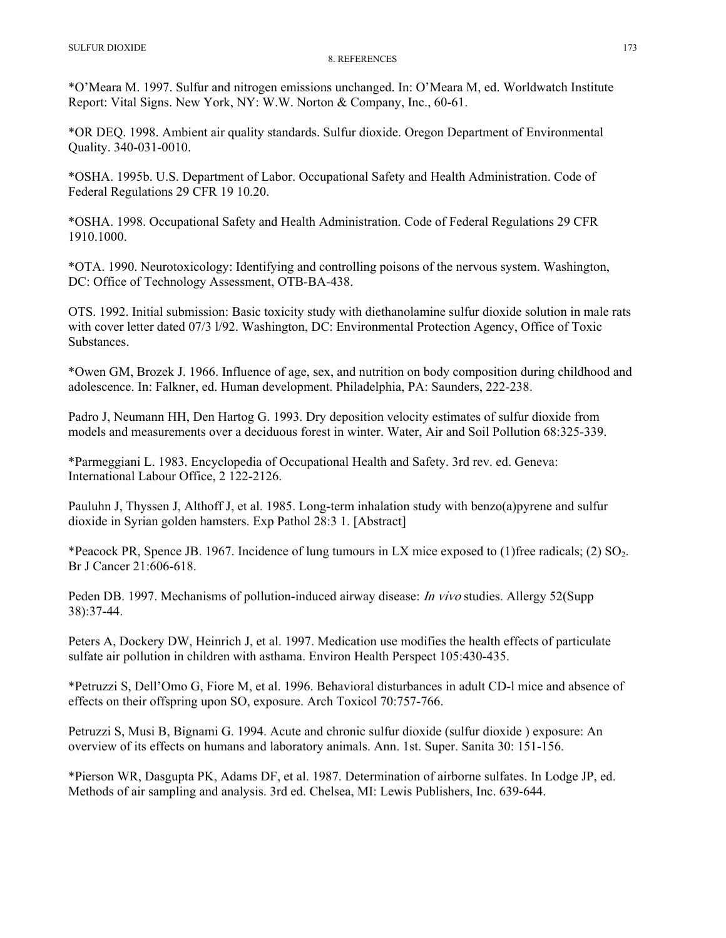\*O'Meara M. 1997. Sulfur and nitrogen emissions unchanged. In: O'Meara M, ed. Worldwatch Institute Report: Vital Signs. New York, NY: W.W. Norton & Company, Inc., 60-61.

\*OR DEQ. 1998. Ambient air quality standards. Sulfur dioxide. Oregon Department of Environmental Quality. 340-031-0010.

\*OSHA. 1995b. U.S. Department of Labor. Occupational Safety and Health Administration. Code of Federal Regulations 29 CFR 19 10.20.

\*OSHA. 1998. Occupational Safety and Health Administration. Code of Federal Regulations 29 CFR 1910.1000.

\*OTA. 1990. Neurotoxicology: Identifying and controlling poisons of the nervous system. Washington, DC: Office of Technology Assessment, OTB-BA-438.

OTS. 1992. Initial submission: Basic toxicity study with diethanolamine sulfur dioxide solution in male rats with cover letter dated 07/3 l/92. Washington, DC: Environmental Protection Agency, Office of Toxic Substances.

\*Owen GM, Brozek J. 1966. Influence of age, sex, and nutrition on body composition during childhood and adolescence. In: Falkner, ed. Human development. Philadelphia, PA: Saunders, 222-238.

Padro J, Neumann HH, Den Hartog G. 1993. Dry deposition velocity estimates of sulfur dioxide from models and measurements over a deciduous forest in winter. Water, Air and Soil Pollution 68:325-339.

\*Parmeggiani L. 1983. Encyclopedia of Occupational Health and Safety. 3rd rev. ed. Geneva: International Labour Office, 2 122-2126.

Pauluhn J, Thyssen J, Althoff J, et al. 1985. Long-term inhalation study with benzo(a)pyrene and sulfur dioxide in Syrian golden hamsters. Exp Pathol 28:3 1. [Abstract]

\*Peacock PR, Spence JB. 1967. Incidence of lung tumours in LX mice exposed to (1)free radicals; (2)  $SO_2$ . Br J Cancer 21:606-618.

Peden DB. 1997. Mechanisms of pollution-induced airway disease: *In vivo* studies. Allergy 52(Supp) 38):37-44.

Peters A, Dockery DW, Heinrich J, et al. 1997. Medication use modifies the health effects of particulate sulfate air pollution in children with asthama. Environ Health Perspect 105:430-435.

\*Petruzzi S, Dell'Omo G, Fiore M, et al. 1996. Behavioral disturbances in adult CD-l mice and absence of effects on their offspring upon SO, exposure. Arch Toxicol 70:757-766.

Petruzzi S, Musi B, Bignami G. 1994. Acute and chronic sulfur dioxide (sulfur dioxide ) exposure: An overview of its effects on humans and laboratory animals. Ann. 1st. Super. Sanita 30: 151-156.

\*Pierson WR, Dasgupta PK, Adams DF, et al. 1987. Determination of airborne sulfates. In Lodge JP, ed. Methods of air sampling and analysis. 3rd ed. Chelsea, MI: Lewis Publishers, Inc. 639-644.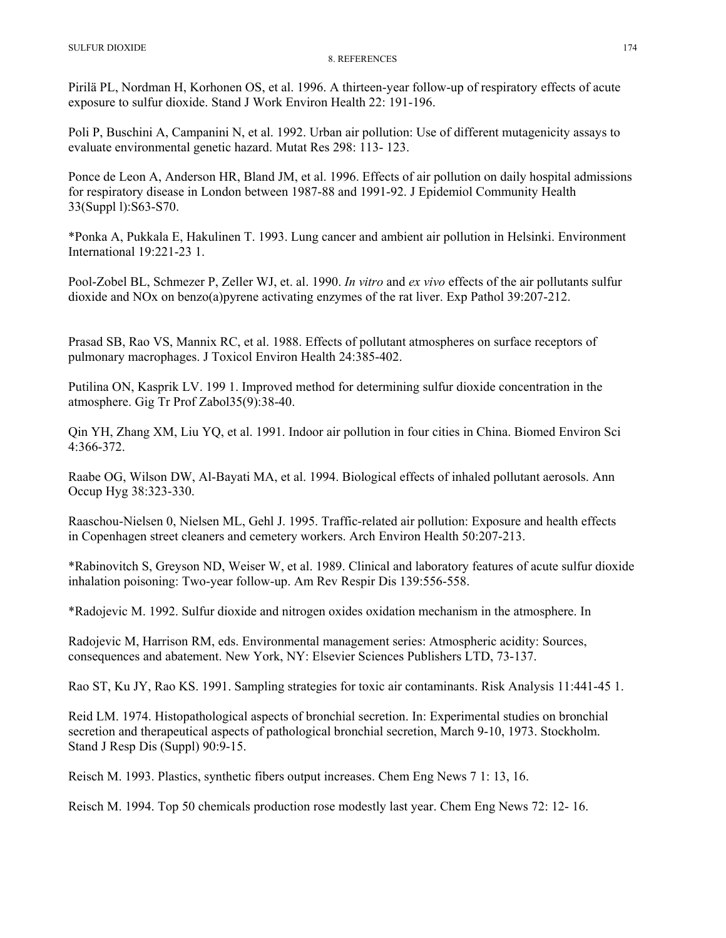Pirilä PL, Nordman H, Korhonen OS, et al. 1996. A thirteen-year follow-up of respiratory effects of acute exposure to sulfur dioxide. Stand J Work Environ Health 22: 191-196.

Poli P, Buschini A, Campanini N, et al. 1992. Urban air pollution: Use of different mutagenicity assays to evaluate environmental genetic hazard. Mutat Res 298: 113- 123.

Ponce de Leon A, Anderson HR, Bland JM, et al. 1996. Effects of air pollution on daily hospital admissions for respiratory disease in London between 1987-88 and 1991-92. J Epidemiol Community Health 33(Suppl l):S63-S70.

\*Ponka A, Pukkala E, Hakulinen T. 1993. Lung cancer and ambient air pollution in Helsinki. Environment International 19:221-23 1.

Pool-Zobel BL, Schmezer P, Zeller WJ, et. al. 1990. *In vitro* and *ex vivo* effects of the air pollutants sulfur dioxide and NOx on benzo(a)pyrene activating enzymes of the rat liver. Exp Pathol 39:207-212.

Prasad SB, Rao VS, Mannix RC, et al. 1988. Effects of pollutant atmospheres on surface receptors of pulmonary macrophages. J Toxicol Environ Health 24:385-402.

Putilina ON, Kasprik LV. 199 1. Improved method for determining sulfur dioxide concentration in the atmosphere. Gig Tr Prof Zabol35(9):38-40.

Qin YH, Zhang XM, Liu YQ, et al. 1991. Indoor air pollution in four cities in China. Biomed Environ Sci 4:366-372.

Raabe OG, Wilson DW, Al-Bayati MA, et al. 1994. Biological effects of inhaled pollutant aerosols. Ann Occup Hyg 38:323-330.

Raaschou-Nielsen 0, Nielsen ML, Gehl J. 1995. Traffic-related air pollution: Exposure and health effects in Copenhagen street cleaners and cemetery workers. Arch Environ Health 50:207-213.

\*Rabinovitch S, Greyson ND, Weiser W, et al. 1989. Clinical and laboratory features of acute sulfur dioxide inhalation poisoning: Two-year follow-up. Am Rev Respir Dis 139:556-558.

\*Radojevic M. 1992. Sulfur dioxide and nitrogen oxides oxidation mechanism in the atmosphere. In

Radojevic M, Harrison RM, eds. Environmental management series: Atmospheric acidity: Sources, consequences and abatement. New York, NY: Elsevier Sciences Publishers LTD, 73-137.

Rao ST, Ku JY, Rao KS. 1991. Sampling strategies for toxic air contaminants. Risk Analysis 11:441-45 1.

Reid LM. 1974. Histopathological aspects of bronchial secretion. In: Experimental studies on bronchial secretion and therapeutical aspects of pathological bronchial secretion, March 9-10, 1973. Stockholm. Stand J Resp Dis (Suppl) 90:9-15.

Reisch M. 1993. Plastics, synthetic fibers output increases. Chem Eng News 7 1: 13, 16.

Reisch M. 1994. Top 50 chemicals production rose modestly last year. Chem Eng News 72: 12- 16.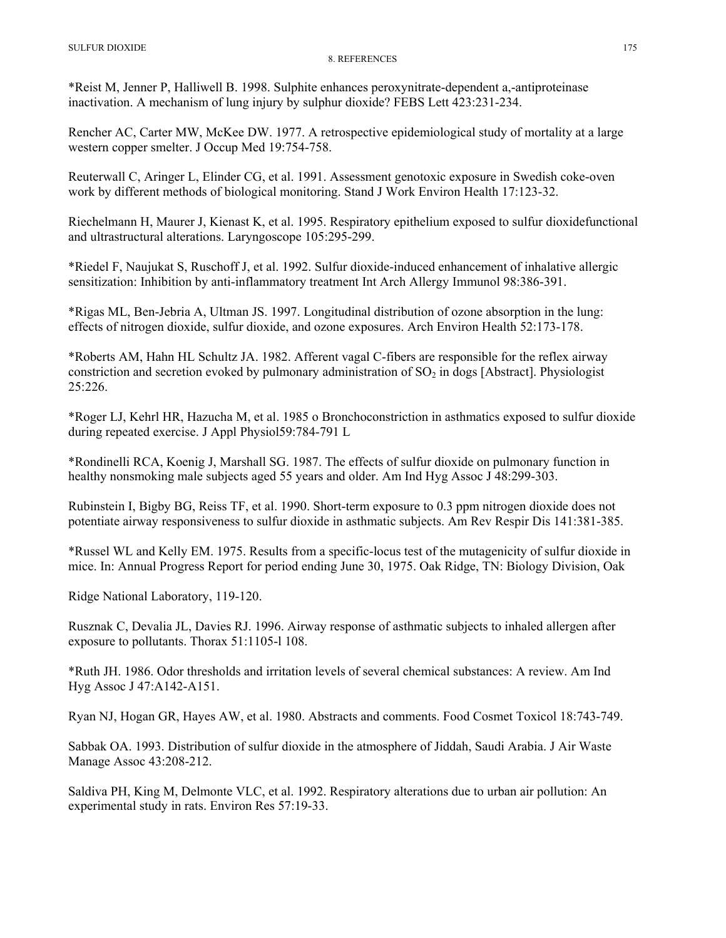\*Reist M, Jenner P, Halliwell B. 1998. Sulphite enhances peroxynitrate-dependent a,-antiproteinase inactivation. A mechanism of lung injury by sulphur dioxide? FEBS Lett 423:231-234.

Rencher AC, Carter MW, McKee DW. 1977. A retrospective epidemiological study of mortality at a large western copper smelter. J Occup Med 19:754-758.

Reuterwall C, Aringer L, Elinder CG, et al. 1991. Assessment genotoxic exposure in Swedish coke-oven work by different methods of biological monitoring. Stand J Work Environ Health 17:123-32.

Riechelmann H, Maurer J, Kienast K, et al. 1995. Respiratory epithelium exposed to sulfur dioxidefunctional and ultrastructural alterations. Laryngoscope 105:295-299.

\*Riedel F, Naujukat S, Ruschoff J, et al. 1992. Sulfur dioxide-induced enhancement of inhalative allergic sensitization: Inhibition by anti-inflammatory treatment Int Arch Allergy Immunol 98:386-391.

\*Rigas ML, Ben-Jebria A, Ultman JS. 1997. Longitudinal distribution of ozone absorption in the lung: effects of nitrogen dioxide, sulfur dioxide, and ozone exposures. Arch Environ Health 52:173-178.

\*Roberts AM, Hahn HL Schultz JA. 1982. Afferent vagal C-fibers are responsible for the reflex airway constriction and secretion evoked by pulmonary administration of  $SO<sub>2</sub>$  in dogs [Abstract]. Physiologist 25:226.

\*Roger LJ, Kehrl HR, Hazucha M, et al. 1985 o Bronchoconstriction in asthmatics exposed to sulfur dioxide during repeated exercise. J Appl Physiol59:784-791 L

\*Rondinelli RCA, Koenig J, Marshall SG. 1987. The effects of sulfur dioxide on pulmonary function in healthy nonsmoking male subjects aged 55 years and older. Am Ind Hyg Assoc J 48:299-303.

Rubinstein I, Bigby BG, Reiss TF, et al. 1990. Short-term exposure to 0.3 ppm nitrogen dioxide does not potentiate airway responsiveness to sulfur dioxide in asthmatic subjects. Am Rev Respir Dis 141:381-385.

\*Russel WL and Kelly EM. 1975. Results from a specific-locus test of the mutagenicity of sulfur dioxide in mice. In: Annual Progress Report for period ending June 30, 1975. Oak Ridge, TN: Biology Division, Oak

Ridge National Laboratory, 119-120.

Rusznak C, Devalia JL, Davies RJ. 1996. Airway response of asthmatic subjects to inhaled allergen after exposure to pollutants. Thorax 51:1105-l 108.

\*Ruth JH. 1986. Odor thresholds and irritation levels of several chemical substances: A review. Am Ind Hyg Assoc J 47:A142-A151.

Ryan NJ, Hogan GR, Hayes AW, et al. 1980. Abstracts and comments. Food Cosmet Toxicol 18:743-749.

Sabbak OA. 1993. Distribution of sulfur dioxide in the atmosphere of Jiddah, Saudi Arabia. J Air Waste Manage Assoc 43:208-212.

Saldiva PH, King M, Delmonte VLC, et al. 1992. Respiratory alterations due to urban air pollution: An experimental study in rats. Environ Res 57:19-33.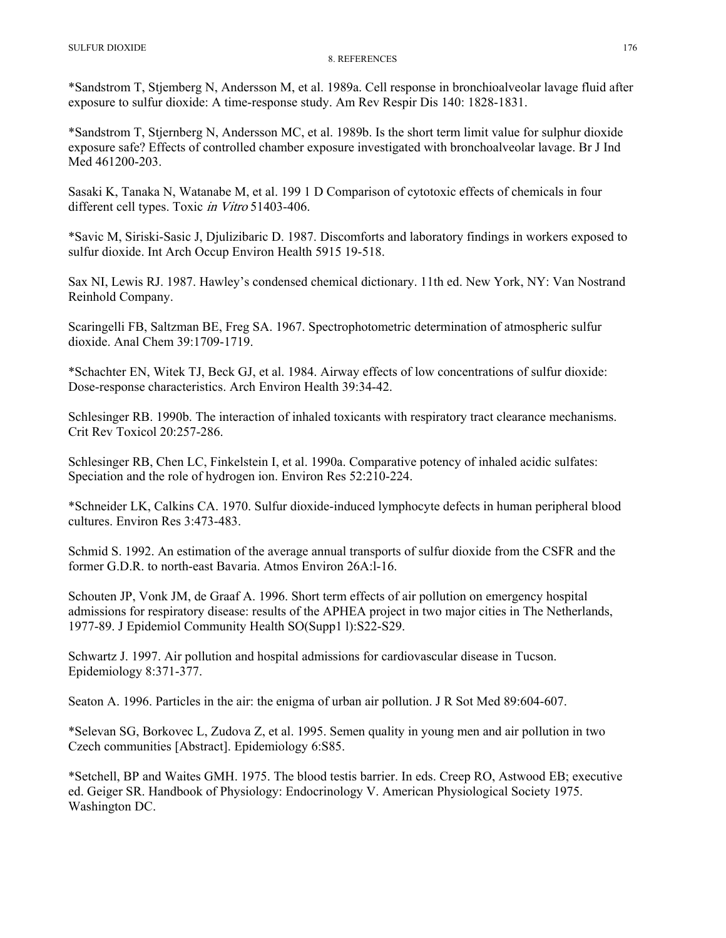\*Sandstrom T, Stjemberg N, Andersson M, et al. 1989a. Cell response in bronchioalveolar lavage fluid after exposure to sulfur dioxide: A time-response study. Am Rev Respir Dis 140: 1828-1831.

\*Sandstrom T, Stjernberg N, Andersson MC, et al. 1989b. Is the short term limit value for sulphur dioxide exposure safe? Effects of controlled chamber exposure investigated with bronchoalveolar lavage. Br J Ind Med 461200-203.

Sasaki K, Tanaka N, Watanabe M, et al. 199 1 D Comparison of cytotoxic effects of chemicals in four different cell types. Toxic in Vitro 51403-406.

\*Savic M, Siriski-Sasic J, Djulizibaric D. 1987. Discomforts and laboratory findings in workers exposed to sulfur dioxide. Int Arch Occup Environ Health 5915 19-518.

Sax NI, Lewis RJ. 1987. Hawley's condensed chemical dictionary. 11th ed. New York, NY: Van Nostrand Reinhold Company.

Scaringelli FB, Saltzman BE, Freg SA. 1967. Spectrophotometric determination of atmospheric sulfur dioxide. Anal Chem 39:1709-1719.

\*Schachter EN, Witek TJ, Beck GJ, et al. 1984. Airway effects of low concentrations of sulfur dioxide: Dose-response characteristics. Arch Environ Health 39:34-42.

Schlesinger RB. 1990b. The interaction of inhaled toxicants with respiratory tract clearance mechanisms. Crit Rev Toxicol 20:257-286.

Schlesinger RB, Chen LC, Finkelstein I, et al. 1990a. Comparative potency of inhaled acidic sulfates: Speciation and the role of hydrogen ion. Environ Res 52:210-224.

\*Schneider LK, Calkins CA. 1970. Sulfur dioxide-induced lymphocyte defects in human peripheral blood cultures. Environ Res 3:473-483.

Schmid S. 1992. An estimation of the average annual transports of sulfur dioxide from the CSFR and the former G.D.R. to north-east Bavaria. Atmos Environ 26A:l-16.

Schouten JP, Vonk JM, de Graaf A. 1996. Short term effects of air pollution on emergency hospital admissions for respiratory disease: results of the APHEA project in two major cities in The Netherlands, 1977-89. J Epidemiol Community Health SO(Supp1 l):S22-S29.

Schwartz J. 1997. Air pollution and hospital admissions for cardiovascular disease in Tucson. Epidemiology 8:371-377.

Seaton A. 1996. Particles in the air: the enigma of urban air pollution. J R Sot Med 89:604-607.

\*Selevan SG, Borkovec L, Zudova Z, et al. 1995. Semen quality in young men and air pollution in two Czech communities [Abstract]. Epidemiology 6:S85.

\*Setchell, BP and Waites GMH. 1975. The blood testis barrier. In eds. Creep RO, Astwood EB; executive ed. Geiger SR. Handbook of Physiology: Endocrinology V. American Physiological Society 1975. Washington DC.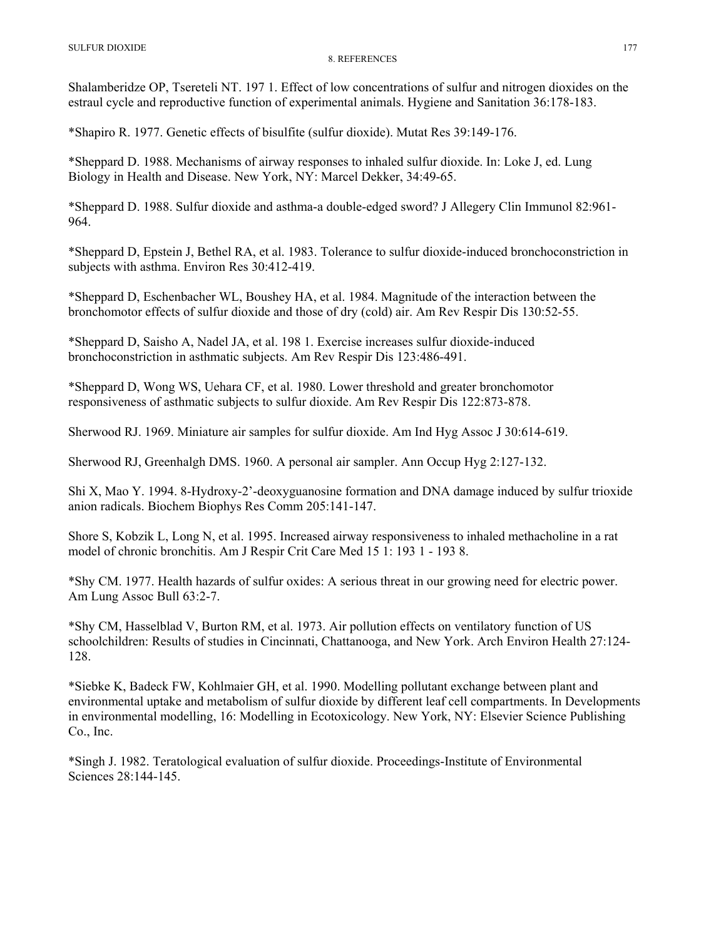Shalamberidze OP, Tsereteli NT. 197 1. Effect of low concentrations of sulfur and nitrogen dioxides on the estraul cycle and reproductive function of experimental animals. Hygiene and Sanitation 36:178-183.

\*Shapiro R. 1977. Genetic effects of bisulfite (sulfur dioxide). Mutat Res 39:149-176.

\*Sheppard D. 1988. Mechanisms of airway responses to inhaled sulfur dioxide. In: Loke J, ed. Lung Biology in Health and Disease. New York, NY: Marcel Dekker, 34:49-65.

\*Sheppard D. 1988. Sulfur dioxide and asthma-a double-edged sword? J Allegery Clin Immunol 82:961 964.

\*Sheppard D, Epstein J, Bethel RA, et al. 1983. Tolerance to sulfur dioxide-induced bronchoconstriction in subjects with asthma. Environ Res 30:412-419.

\*Sheppard D, Eschenbacher WL, Boushey HA, et al. 1984. Magnitude of the interaction between the bronchomotor effects of sulfur dioxide and those of dry (cold) air. Am Rev Respir Dis 130:52-55.

\*Sheppard D, Saisho A, Nadel JA, et al. 198 1. Exercise increases sulfur dioxide-induced bronchoconstriction in asthmatic subjects. Am Rev Respir Dis 123:486-491.

\*Sheppard D, Wong WS, Uehara CF, et al. 1980. Lower threshold and greater bronchomotor responsiveness of asthmatic subjects to sulfur dioxide. Am Rev Respir Dis 122:873-878.

Sherwood RJ. 1969. Miniature air samples for sulfur dioxide. Am Ind Hyg Assoc J 30:614-619.

Sherwood RJ, Greenhalgh DMS. 1960. A personal air sampler. Ann Occup Hyg 2:127-132.

Shi X, Mao Y. 1994. 8-Hydroxy-2'-deoxyguanosine formation and DNA damage induced by sulfur trioxide anion radicals. Biochem Biophys Res Comm 205:141-147.

Shore S, Kobzik L, Long N, et al. 1995. Increased airway responsiveness to inhaled methacholine in a rat model of chronic bronchitis. Am J Respir Crit Care Med 15 1: 193 1 - 193 8.

\*Shy CM. 1977. Health hazards of sulfur oxides: A serious threat in our growing need for electric power. Am Lung Assoc Bull 63:2-7.

\*Shy CM, Hasselblad V, Burton RM, et al. 1973. Air pollution effects on ventilatory function of US schoolchildren: Results of studies in Cincinnati, Chattanooga, and New York. Arch Environ Health 27:124 128.

\*Siebke K, Badeck FW, Kohlmaier GH, et al. 1990. Modelling pollutant exchange between plant and environmental uptake and metabolism of sulfur dioxide by different leaf cell compartments. In Developments in environmental modelling, 16: Modelling in Ecotoxicology. New York, NY: Elsevier Science Publishing Co., Inc.

\*Singh J. 1982. Teratological evaluation of sulfur dioxide. Proceedings-Institute of Environmental Sciences 28:144-145.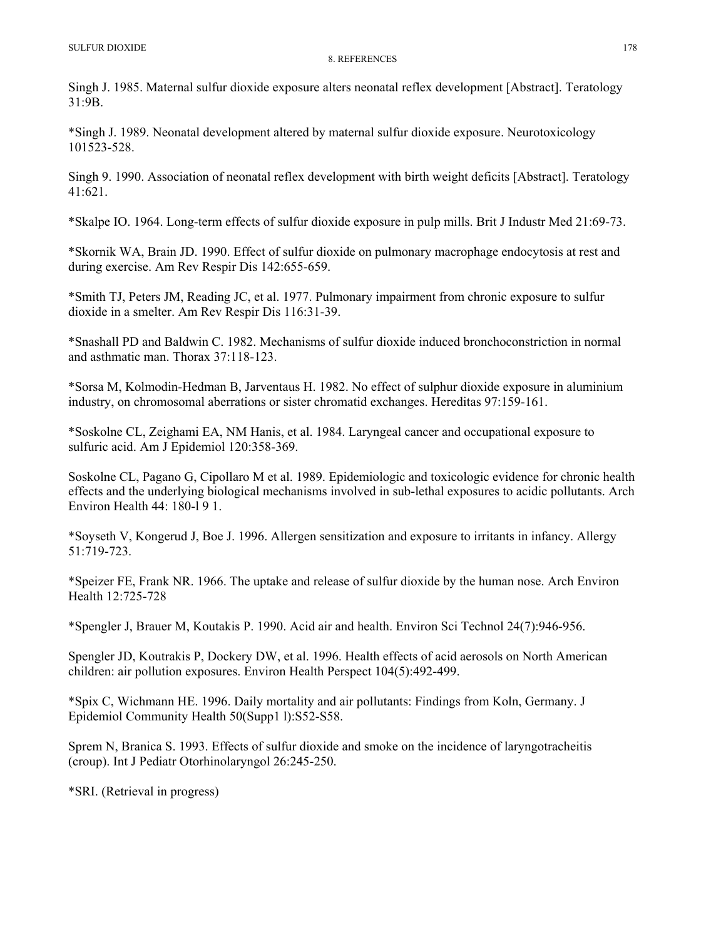Singh J. 1985. Maternal sulfur dioxide exposure alters neonatal reflex development [Abstract]. Teratology 31:9B.

\*Singh J. 1989. Neonatal development altered by maternal sulfur dioxide exposure. Neurotoxicology 101523-528.

Singh 9. 1990. Association of neonatal reflex development with birth weight deficits [Abstract]. Teratology 41:621.

\*Skalpe IO. 1964. Long-term effects of sulfur dioxide exposure in pulp mills. Brit J Industr Med 21:69-73.

\*Skornik WA, Brain JD. 1990. Effect of sulfur dioxide on pulmonary macrophage endocytosis at rest and during exercise. Am Rev Respir Dis 142:655-659.

\*Smith TJ, Peters JM, Reading JC, et al. 1977. Pulmonary impairment from chronic exposure to sulfur dioxide in a smelter. Am Rev Respir Dis 116:31-39.

\*Snashall PD and Baldwin C. 1982. Mechanisms of sulfur dioxide induced bronchoconstriction in normal and asthmatic man. Thorax 37:118-123.

\*Sorsa M, Kolmodin-Hedman B, Jarventaus H. 1982. No effect of sulphur dioxide exposure in aluminium industry, on chromosomal aberrations or sister chromatid exchanges. Hereditas 97:159-161.

\*Soskolne CL, Zeighami EA, NM Hanis, et al. 1984. Laryngeal cancer and occupational exposure to sulfuric acid. Am J Epidemiol 120:358-369.

Soskolne CL, Pagano G, Cipollaro M et al. 1989. Epidemiologic and toxicologic evidence for chronic health effects and the underlying biological mechanisms involved in sub-lethal exposures to acidic pollutants. Arch Environ Health 44: 180-l 9 1.

\*Soyseth V, Kongerud J, Boe J. 1996. Allergen sensitization and exposure to irritants in infancy. Allergy 51:719-723.

\*Speizer FE, Frank NR. 1966. The uptake and release of sulfur dioxide by the human nose. Arch Environ Health 12:725-728

\*Spengler J, Brauer M, Koutakis P. 1990. Acid air and health. Environ Sci Technol 24(7):946-956.

Spengler JD, Koutrakis P, Dockery DW, et al. 1996. Health effects of acid aerosols on North American children: air pollution exposures. Environ Health Perspect 104(5):492-499.

\*Spix C, Wichmann HE. 1996. Daily mortality and air pollutants: Findings from Koln, Germany. J Epidemiol Community Health 50(Supp1 l):S52-S58.

Sprem N, Branica S. 1993. Effects of sulfur dioxide and smoke on the incidence of laryngotracheitis (croup). Int J Pediatr Otorhinolaryngol 26:245-250.

\*SRI. (Retrieval in progress)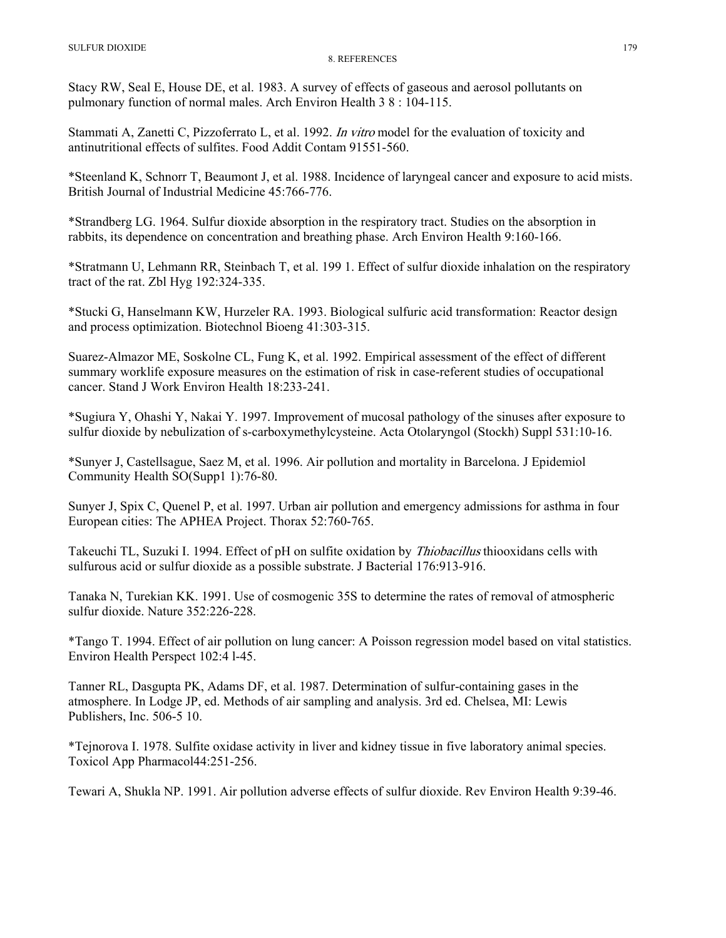Stacy RW, Seal E, House DE, et al. 1983. A survey of effects of gaseous and aerosol pollutants on pulmonary function of normal males. Arch Environ Health 3 8 : 104-115.

Stammati A, Zanetti C, Pizzoferrato L, et al. 1992. In vitro model for the evaluation of toxicity and antinutritional effects of sulfites. Food Addit Contam 91551-560.

\*Steenland K, Schnorr T, Beaumont J, et al. 1988. Incidence of laryngeal cancer and exposure to acid mists. British Journal of Industrial Medicine 45:766-776.

\*Strandberg LG. 1964. Sulfur dioxide absorption in the respiratory tract. Studies on the absorption in rabbits, its dependence on concentration and breathing phase. Arch Environ Health 9:160-166.

\*Stratmann U, Lehmann RR, Steinbach T, et al. 199 1. Effect of sulfur dioxide inhalation on the respiratory tract of the rat. Zbl Hyg 192:324-335.

\*Stucki G, Hanselmann KW, Hurzeler RA. 1993. Biological sulfuric acid transformation: Reactor design and process optimization. Biotechnol Bioeng 41:303-315.

Suarez-Almazor ME, Soskolne CL, Fung K, et al. 1992. Empirical assessment of the effect of different summary worklife exposure measures on the estimation of risk in case-referent studies of occupational cancer. Stand J Work Environ Health 18:233-241.

\*Sugiura Y, Ohashi Y, Nakai Y. 1997. Improvement of mucosal pathology of the sinuses after exposure to sulfur dioxide by nebulization of s-carboxymethylcysteine. Acta Otolaryngol (Stockh) Suppl 531:10-16.

\*Sunyer J, Castellsague, Saez M, et al. 1996. Air pollution and mortality in Barcelona. J Epidemiol Community Health SO(Supp1 1):76-80.

Sunyer J, Spix C, Quenel P, et al. 1997. Urban air pollution and emergency admissions for asthma in four European cities: The APHEA Project. Thorax 52:760-765.

Takeuchi TL, Suzuki I. 1994. Effect of pH on sulfite oxidation by Thiobacillus thiooxidans cells with sulfurous acid or sulfur dioxide as a possible substrate. J Bacterial 176:913-916.

Tanaka N, Turekian KK. 1991. Use of cosmogenic 35S to determine the rates of removal of atmospheric sulfur dioxide. Nature 352:226-228.

\*Tango T. 1994. Effect of air pollution on lung cancer: A Poisson regression model based on vital statistics. Environ Health Perspect 102:4 l-45.

Tanner RL, Dasgupta PK, Adams DF, et al. 1987. Determination of sulfur-containing gases in the atmosphere. In Lodge JP, ed. Methods of air sampling and analysis. 3rd ed. Chelsea, MI: Lewis Publishers, Inc. 506-5 10.

\*Tejnorova I. 1978. Sulfite oxidase activity in liver and kidney tissue in five laboratory animal species. Toxicol App Pharmacol44:251-256.

Tewari A, Shukla NP. 1991. Air pollution adverse effects of sulfur dioxide. Rev Environ Health 9:39-46.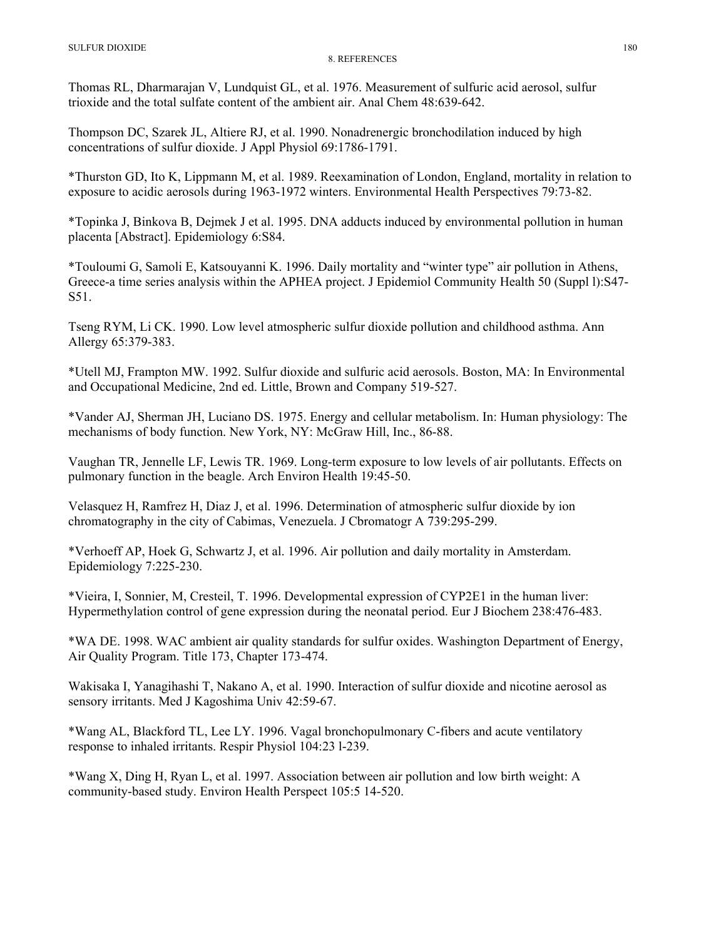Thomas RL, Dharmarajan V, Lundquist GL, et al. 1976. Measurement of sulfuric acid aerosol, sulfur trioxide and the total sulfate content of the ambient air. Anal Chem 48:639-642.

Thompson DC, Szarek JL, Altiere RJ, et al. 1990. Nonadrenergic bronchodilation induced by high concentrations of sulfur dioxide. J Appl Physiol 69:1786-1791.

\*Thurston GD, Ito K, Lippmann M, et al. 1989. Reexamination of London, England, mortality in relation to exposure to acidic aerosols during 1963-1972 winters. Environmental Health Perspectives 79:73-82.

\*Topinka J, Binkova B, Dejmek J et al. 1995. DNA adducts induced by environmental pollution in human placenta [Abstract]. Epidemiology 6:S84.

\*Touloumi G, Samoli E, Katsouyanni K. 1996. Daily mortality and "winter type" air pollution in Athens, Greece-a time series analysis within the APHEA project. J Epidemiol Community Health 50 (Suppl l):S47 S51.

Tseng RYM, Li CK. 1990. Low level atmospheric sulfur dioxide pollution and childhood asthma. Ann Allergy 65:379-383.

\*Utell MJ, Frampton MW. 1992. Sulfur dioxide and sulfuric acid aerosols. Boston, MA: In Environmental and Occupational Medicine, 2nd ed. Little, Brown and Company 519-527.

\*Vander AJ, Sherman JH, Luciano DS. 1975. Energy and cellular metabolism. In: Human physiology: The mechanisms of body function. New York, NY: McGraw Hill, Inc., 86-88.

Vaughan TR, Jennelle LF, Lewis TR. 1969. Long-term exposure to low levels of air pollutants. Effects on pulmonary function in the beagle. Arch Environ Health 19:45-50.

Velasquez H, Ramfrez H, Diaz J, et al. 1996. Determination of atmospheric sulfur dioxide by ion chromatography in the city of Cabimas, Venezuela. J Cbromatogr A 739:295-299.

\*Verhoeff AP, Hoek G, Schwartz J, et al. 1996. Air pollution and daily mortality in Amsterdam. Epidemiology 7:225-230.

\*Vieira, I, Sonnier, M, Cresteil, T. 1996. Developmental expression of CYP2E1 in the human liver: Hypermethylation control of gene expression during the neonatal period. Eur J Biochem 238:476-483.

\*WA DE. 1998. WAC ambient air quality standards for sulfur oxides. Washington Department of Energy, Air Quality Program. Title 173, Chapter 173-474.

Wakisaka I, Yanagihashi T, Nakano A, et al. 1990. Interaction of sulfur dioxide and nicotine aerosol as sensory irritants. Med J Kagoshima Univ 42:59-67.

\*Wang AL, Blackford TL, Lee LY. 1996. Vagal bronchopulmonary C-fibers and acute ventilatory response to inhaled irritants. Respir Physiol 104:23 l-239.

\*Wang X, Ding H, Ryan L, et al. 1997. Association between air pollution and low birth weight: A community-based study. Environ Health Perspect 105:5 14-520.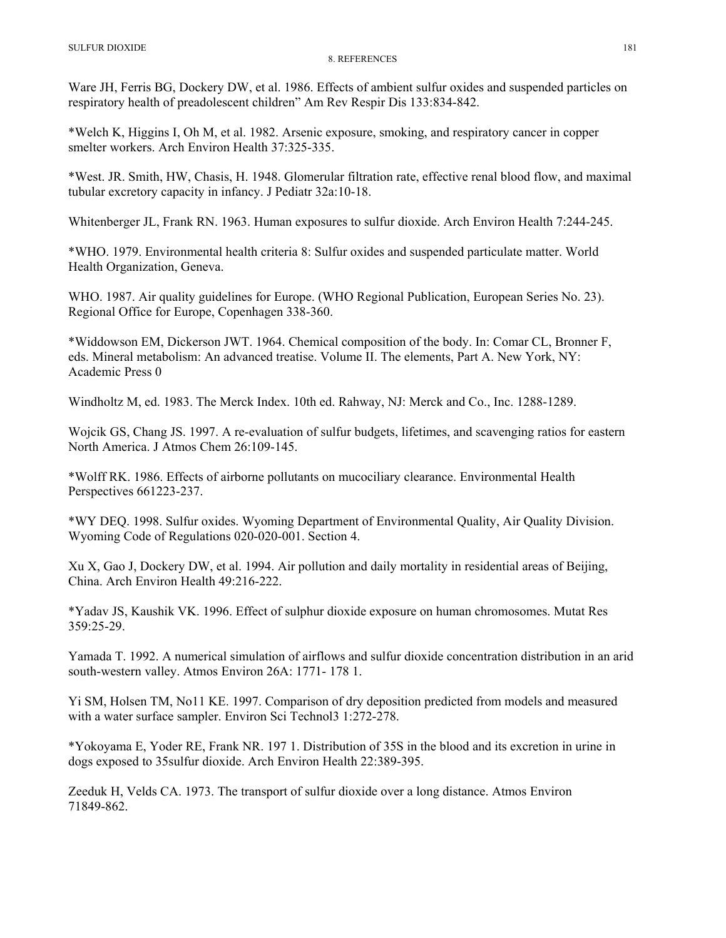Ware JH, Ferris BG, Dockery DW, et al. 1986. Effects of ambient sulfur oxides and suspended particles on respiratory health of preadolescent children" Am Rev Respir Dis 133:834-842.

\*Welch K, Higgins I, Oh M, et al. 1982. Arsenic exposure, smoking, and respiratory cancer in copper smelter workers. Arch Environ Health 37:325-335.

\*West. JR. Smith, HW, Chasis, H. 1948. Glomerular filtration rate, effective renal blood flow, and maximal tubular excretory capacity in infancy. J Pediatr 32a:10-18.

Whitenberger JL, Frank RN. 1963. Human exposures to sulfur dioxide. Arch Environ Health 7:244-245.

\*WHO. 1979. Environmental health criteria 8: Sulfur oxides and suspended particulate matter. World Health Organization, Geneva.

WHO. 1987. Air quality guidelines for Europe. (WHO Regional Publication, European Series No. 23). Regional Office for Europe, Copenhagen 338-360.

\*Widdowson EM, Dickerson JWT. 1964. Chemical composition of the body. In: Comar CL, Bronner F, eds. Mineral metabolism: An advanced treatise. Volume II. The elements, Part A. New York, NY: Academic Press 0

Windholtz M, ed. 1983. The Merck Index. 10th ed. Rahway, NJ: Merck and Co., Inc. 1288-1289.

Wojcik GS, Chang JS. 1997. A re-evaluation of sulfur budgets, lifetimes, and scavenging ratios for eastern North America. J Atmos Chem 26:109-145.

\*Wolff RK. 1986. Effects of airborne pollutants on mucociliary clearance. Environmental Health Perspectives 661223-237.

\*WY DEQ. 1998. Sulfur oxides. Wyoming Department of Environmental Quality, Air Quality Division. Wyoming Code of Regulations 020-020-001. Section 4.

Xu X, Gao J, Dockery DW, et al. 1994. Air pollution and daily mortality in residential areas of Beijing, China. Arch Environ Health 49:216-222.

\*Yadav JS, Kaushik VK. 1996. Effect of sulphur dioxide exposure on human chromosomes. Mutat Res 359:25-29.

Yamada T. 1992. A numerical simulation of airflows and sulfur dioxide concentration distribution in an arid south-western valley. Atmos Environ 26A: 1771- 178 1.

Yi SM, Holsen TM, No11 KE. 1997. Comparison of dry deposition predicted from models and measured with a water surface sampler. Environ Sci Technol 3 1:272-278.

\*Yokoyama E, Yoder RE, Frank NR. 197 1. Distribution of 35S in the blood and its excretion in urine in dogs exposed to 35sulfur dioxide. Arch Environ Health 22:389-395.

Zeeduk H, Velds CA. 1973. The transport of sulfur dioxide over a long distance. Atmos Environ 71849-862.